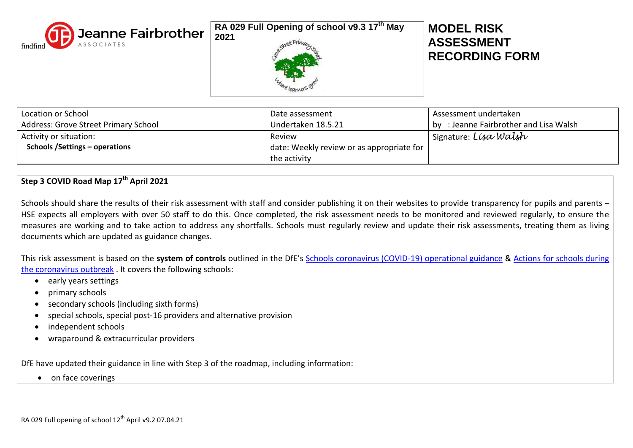

**RA 029 Full Opening of school v9.3 17 th May** 



# **MODEL RISK ASSESSMENT RECORDING FORM**

| Location or School                    | Date assessment                           | Assessment undertaken                     |
|---------------------------------------|-------------------------------------------|-------------------------------------------|
| Address: Grove Street Primary School  | Undertaken 18.5.21                        | : Jeanne Fairbrother and Lisa Walsh<br>bv |
| Activity or situation:                | Review                                    | <sup>1</sup> Signature: Lisa Walsh        |
| <b>Schools /Settings – operations</b> | date: Weekly review or as appropriate for |                                           |
|                                       | the activity                              |                                           |

## **Step 3 COVID Road Map 17th April 2021**

Schools should share the results of their risk assessment with staff and consider publishing it on their websites to provide transparency for pupils and parents – HSE expects all employers with over 50 staff to do this. Once completed, the risk assessment needs to be monitored and reviewed regularly, to ensure the measures are working and to take action to address any shortfalls. Schools must regularly review and update their risk assessments, treating them as living documents which are updated as guidance changes.

This risk assessment is based on the **system of controls** outlined in the DfE's [Schools coronavirus \(COVID-19\) operational guidance](https://assets.publishing.service.gov.uk/government/uploads/system/uploads/attachment_data/file/964351/Schools_coronavirus_operational_guidance.pdf) & [Actions for schools during](https://www.gov.uk/government/publications/actions-for-schools-during-the-coronavirus-outbreak)  [the coronavirus outbreak](https://www.gov.uk/government/publications/actions-for-schools-during-the-coronavirus-outbreak) . It covers the following schools:

- early years settings
- primary schools
- secondary schools (including sixth forms)
- special schools, special post-16 providers and alternative provision
- independent schools
- wraparound & extracurricular providers

DfE have updated their guidance in line with Step 3 of the roadmap, including information:

• on face coverings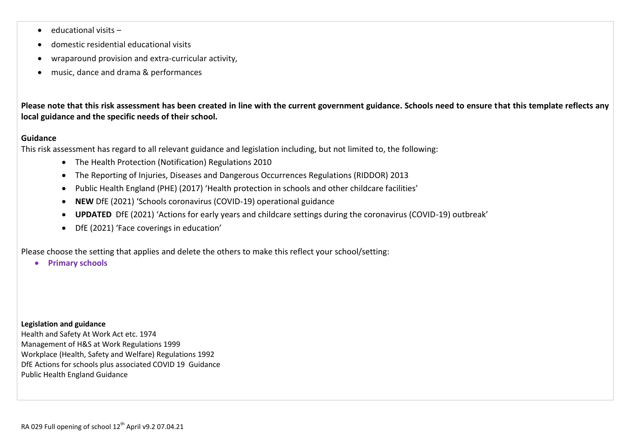- $\bullet$  educational visits –
- domestic residential educational visits
- wraparound provision and extra-curricular activity,
- music, dance and drama & performances

**Please note that this risk assessment has been created in line with the current government guidance. Schools need to ensure that this template reflects any local guidance and the specific needs of their school.** 

### **Guidance**

This risk assessment has regard to all relevant guidance and legislation including, but not limited to, the following:

- The Health Protection (Notification) Regulations 2010
- The Reporting of Injuries, Diseases and Dangerous Occurrences Regulations (RIDDOR) 2013
- Public Health England (PHE) (2017) 'Health protection in schools and other childcare facilities'
- **NEW** DfE (2021) 'Schools coronavirus (COVID-19) operational guidance
- **UPDATED** DfE (2021) 'Actions for early years and childcare settings during the coronavirus (COVID-19) outbreak'
- DfE (2021) 'Face coverings in education'

Please choose the setting that applies and delete the others to make this reflect your school/setting:

**•** Primary schools

#### **Legislation and guidance**

Health and Safety At Work Act etc. 1974 Management of H&S at Work Regulations 1999 Workplace (Health, Safety and Welfare) Regulations 1992 DfE Actions for schools plus associated COVID 19 Guidance Public Health England Guidance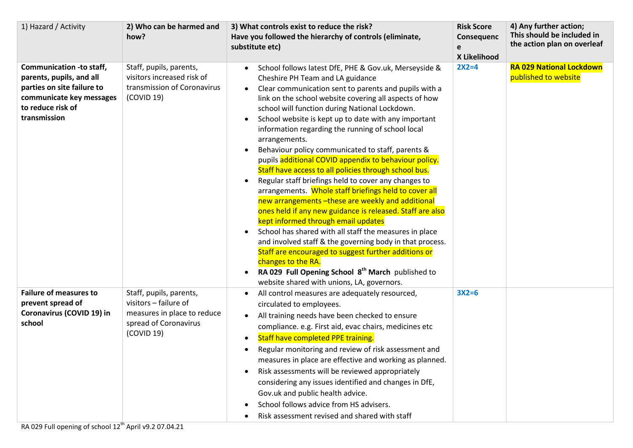| 1) Hazard / Activity                                                                                                                                       | 2) Who can be harmed and<br>how?                                                                                       | 3) What controls exist to reduce the risk?<br>Have you followed the hierarchy of controls (eliminate,<br>substitute etc)                                                                                                                                                                                                                                                                                                                                                                                                                                                                                                                                                                                                                                                                                                                                                                                                                                                                                                                                                                                                                                                       | <b>Risk Score</b><br>Consequenc<br>e<br>X Likelihood | 4) Any further action;<br>This should be included in<br>the action plan on overleaf |
|------------------------------------------------------------------------------------------------------------------------------------------------------------|------------------------------------------------------------------------------------------------------------------------|--------------------------------------------------------------------------------------------------------------------------------------------------------------------------------------------------------------------------------------------------------------------------------------------------------------------------------------------------------------------------------------------------------------------------------------------------------------------------------------------------------------------------------------------------------------------------------------------------------------------------------------------------------------------------------------------------------------------------------------------------------------------------------------------------------------------------------------------------------------------------------------------------------------------------------------------------------------------------------------------------------------------------------------------------------------------------------------------------------------------------------------------------------------------------------|------------------------------------------------------|-------------------------------------------------------------------------------------|
| <b>Communication -to staff,</b><br>parents, pupils, and all<br>parties on site failure to<br>communicate key messages<br>to reduce risk of<br>transmission | Staff, pupils, parents,<br>visitors increased risk of<br>transmission of Coronavirus<br>(COVID 19)                     | School follows latest DfE, PHE & Gov.uk, Merseyside &<br>Cheshire PH Team and LA guidance<br>Clear communication sent to parents and pupils with a<br>$\bullet$<br>link on the school website covering all aspects of how<br>school will function during National Lockdown.<br>School website is kept up to date with any important<br>information regarding the running of school local<br>arrangements.<br>Behaviour policy communicated to staff, parents &<br>pupils additional COVID appendix to behaviour policy.<br>Staff have access to all policies through school bus.<br>Regular staff briefings held to cover any changes to<br>arrangements. Whole staff briefings held to cover all<br>new arrangements - these are weekly and additional<br>ones held if any new guidance is released. Staff are also<br>kept informed through email updates<br>School has shared with all staff the measures in place<br>and involved staff & the governing body in that process.<br>Staff are encouraged to suggest further additions or<br>changes to the RA.<br>RA 029 Full Opening School 8 <sup>th</sup> March published to<br>website shared with unions, LA, governors. | $2X2=4$                                              | <b>RA 029 National Lockdown</b><br>published to website                             |
| <b>Failure of measures to</b><br>prevent spread of<br>Coronavirus (COVID 19) in<br>school                                                                  | Staff, pupils, parents,<br>visitors - failure of<br>measures in place to reduce<br>spread of Coronavirus<br>(COVID 19) | All control measures are adequately resourced,<br>circulated to employees.<br>All training needs have been checked to ensure<br>compliance. e.g. First aid, evac chairs, medicines etc<br><b>Staff have completed PPE training.</b><br>$\bullet$<br>Regular monitoring and review of risk assessment and<br>measures in place are effective and working as planned.<br>Risk assessments will be reviewed appropriately<br>considering any issues identified and changes in DfE,<br>Gov.uk and public health advice.<br>School follows advice from HS advisers.<br>Risk assessment revised and shared with staff                                                                                                                                                                                                                                                                                                                                                                                                                                                                                                                                                                | $3X2=6$                                              |                                                                                     |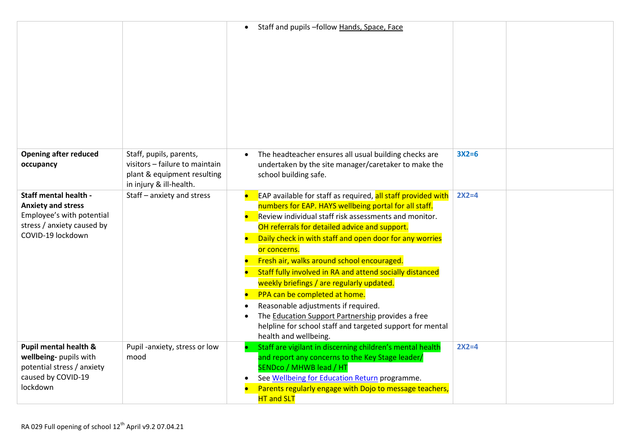|                                                                                                                                    |                                                                                                                     | Staff and pupils -follow Hands, Space, Face                                                                                                                                                                                                                                                                                                                                                                                                                                                                                                                                                                                                                                          |         |  |
|------------------------------------------------------------------------------------------------------------------------------------|---------------------------------------------------------------------------------------------------------------------|--------------------------------------------------------------------------------------------------------------------------------------------------------------------------------------------------------------------------------------------------------------------------------------------------------------------------------------------------------------------------------------------------------------------------------------------------------------------------------------------------------------------------------------------------------------------------------------------------------------------------------------------------------------------------------------|---------|--|
| <b>Opening after reduced</b><br>occupancy                                                                                          | Staff, pupils, parents,<br>visitors - failure to maintain<br>plant & equipment resulting<br>in injury & ill-health. | The headteacher ensures all usual building checks are<br>undertaken by the site manager/caretaker to make the<br>school building safe.                                                                                                                                                                                                                                                                                                                                                                                                                                                                                                                                               | $3X2=6$ |  |
| Staff mental health -<br><b>Anxiety and stress</b><br>Employee's with potential<br>stress / anxiety caused by<br>COVID-19 lockdown | Staff - anxiety and stress                                                                                          | EAP available for staff as required, all staff provided with<br>numbers for EAP. HAYS wellbeing portal for all staff.<br>Review individual staff risk assessments and monitor.<br>OH referrals for detailed advice and support.<br>Daily check in with staff and open door for any worries<br>or concerns.<br>Fresh air, walks around school encouraged.<br>Staff fully involved in RA and attend socially distanced<br>weekly briefings / are regularly updated.<br>PPA can be completed at home.<br>Reasonable adjustments if required.<br>The Education Support Partnership provides a free<br>helpline for school staff and targeted support for mental<br>health and wellbeing. | $2X2=4$ |  |
| Pupil mental health &<br>wellbeing- pupils with<br>potential stress / anxiety<br>caused by COVID-19<br>lockdown                    | Pupil -anxiety, stress or low<br>mood                                                                               | Staff are vigilant in discerning children's mental health<br>and report any concerns to the Key Stage leader/<br>SENDco / MHWB lead / HT<br>See Wellbeing for Education Return programme.<br>Parents regularly engage with Dojo to message teachers,<br><b>HT and SLT</b>                                                                                                                                                                                                                                                                                                                                                                                                            | $2X2=4$ |  |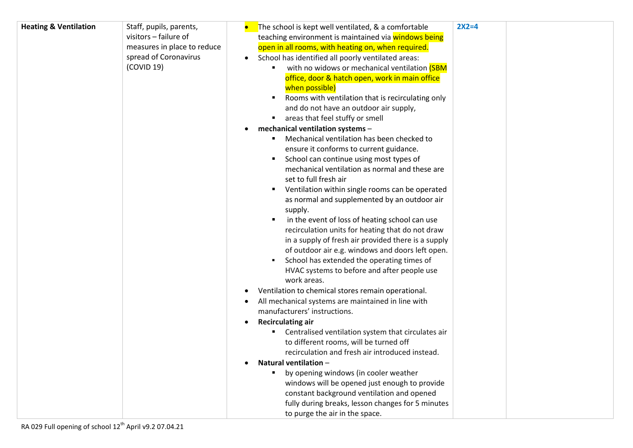| <b>Heating &amp; Ventilation</b> | Staff, pupils, parents,     | $2X2=4$<br>The school is kept well ventilated, & a comfortable  |
|----------------------------------|-----------------------------|-----------------------------------------------------------------|
|                                  | visitors - failure of       | teaching environment is maintained via windows being            |
|                                  | measures in place to reduce | open in all rooms, with heating on, when required.              |
|                                  | spread of Coronavirus       | School has identified all poorly ventilated areas:<br>$\bullet$ |
|                                  | (COVID 19)                  | with no widows or mechanical ventilation (SBM                   |
|                                  |                             | office, door & hatch open, work in main office                  |
|                                  |                             | when possible)                                                  |
|                                  |                             | Rooms with ventilation that is recirculating only               |
|                                  |                             | and do not have an outdoor air supply,                          |
|                                  |                             | areas that feel stuffy or smell                                 |
|                                  |                             | mechanical ventilation systems -                                |
|                                  |                             | Mechanical ventilation has been checked to                      |
|                                  |                             | ensure it conforms to current guidance.                         |
|                                  |                             | School can continue using most types of                         |
|                                  |                             | mechanical ventilation as normal and these are                  |
|                                  |                             | set to full fresh air                                           |
|                                  |                             | Ventilation within single rooms can be operated                 |
|                                  |                             | as normal and supplemented by an outdoor air                    |
|                                  |                             | supply.                                                         |
|                                  |                             | in the event of loss of heating school can use                  |
|                                  |                             | recirculation units for heating that do not draw                |
|                                  |                             | in a supply of fresh air provided there is a supply             |
|                                  |                             | of outdoor air e.g. windows and doors left open.                |
|                                  |                             | School has extended the operating times of                      |
|                                  |                             | HVAC systems to before and after people use                     |
|                                  |                             | work areas.                                                     |
|                                  |                             | Ventilation to chemical stores remain operational.              |
|                                  |                             | All mechanical systems are maintained in line with              |
|                                  |                             | manufacturers' instructions.                                    |
|                                  |                             | <b>Recirculating air</b>                                        |
|                                  |                             | Centralised ventilation system that circulates air<br>a.        |
|                                  |                             | to different rooms, will be turned off                          |
|                                  |                             | recirculation and fresh air introduced instead.                 |
|                                  |                             | Natural ventilation -                                           |
|                                  |                             | by opening windows (in cooler weather                           |
|                                  |                             | windows will be opened just enough to provide                   |
|                                  |                             | constant background ventilation and opened                      |
|                                  |                             | fully during breaks, lesson changes for 5 minutes               |
|                                  |                             |                                                                 |
|                                  |                             | to purge the air in the space.                                  |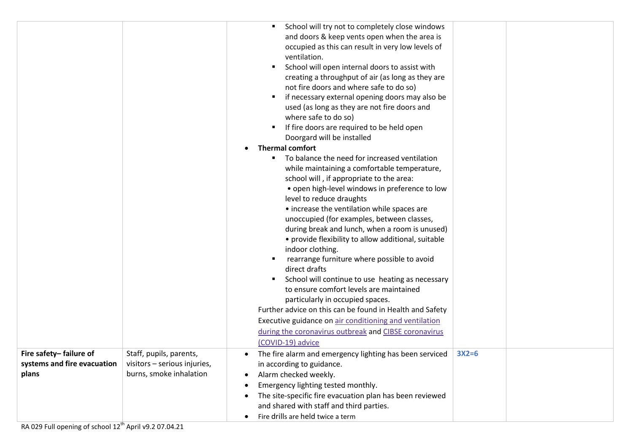|                                                                |                                                                                    | School will try not to completely close windows<br>and doors & keep vents open when the area is<br>occupied as this can result in very low levels of<br>ventilation.<br>School will open internal doors to assist with<br>creating a throughput of air (as long as they are<br>not fire doors and where safe to do so)<br>if necessary external opening doors may also be<br>used (as long as they are not fire doors and<br>where safe to do so)<br>If fire doors are required to be held open<br>$\mathcal{L}_{\mathcal{A}}$<br>Doorgard will be installed<br><b>Thermal comfort</b><br>To balance the need for increased ventilation<br>٠<br>while maintaining a comfortable temperature,<br>school will, if appropriate to the area:<br>• open high-level windows in preference to low<br>level to reduce draughts<br>• increase the ventilation while spaces are<br>unoccupied (for examples, between classes,<br>during break and lunch, when a room is unused)<br>• provide flexibility to allow additional, suitable<br>indoor clothing.<br>rearrange furniture where possible to avoid<br>direct drafts<br>School will continue to use heating as necessary<br>to ensure comfort levels are maintained<br>particularly in occupied spaces. |  |
|----------------------------------------------------------------|------------------------------------------------------------------------------------|-----------------------------------------------------------------------------------------------------------------------------------------------------------------------------------------------------------------------------------------------------------------------------------------------------------------------------------------------------------------------------------------------------------------------------------------------------------------------------------------------------------------------------------------------------------------------------------------------------------------------------------------------------------------------------------------------------------------------------------------------------------------------------------------------------------------------------------------------------------------------------------------------------------------------------------------------------------------------------------------------------------------------------------------------------------------------------------------------------------------------------------------------------------------------------------------------------------------------------------------------------|--|
|                                                                |                                                                                    | Further advice on this can be found in Health and Safety<br>Executive guidance on air conditioning and ventilation                                                                                                                                                                                                                                                                                                                                                                                                                                                                                                                                                                                                                                                                                                                                                                                                                                                                                                                                                                                                                                                                                                                                  |  |
|                                                                |                                                                                    | during the coronavirus outbreak and CIBSE coronavirus<br>(COVID-19) advice                                                                                                                                                                                                                                                                                                                                                                                                                                                                                                                                                                                                                                                                                                                                                                                                                                                                                                                                                                                                                                                                                                                                                                          |  |
| Fire safety-failure of<br>systems and fire evacuation<br>plans | Staff, pupils, parents,<br>visitors - serious injuries,<br>burns, smoke inhalation | $3X2=6$<br>The fire alarm and emergency lighting has been serviced<br>in according to guidance.<br>Alarm checked weekly.<br>Emergency lighting tested monthly.<br>The site-specific fire evacuation plan has been reviewed<br>and shared with staff and third parties.<br>Fire drills are held twice a term<br>$\bullet$                                                                                                                                                                                                                                                                                                                                                                                                                                                                                                                                                                                                                                                                                                                                                                                                                                                                                                                            |  |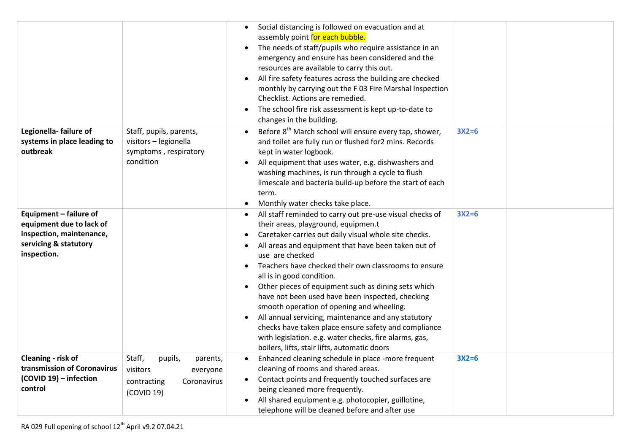|                                                                                                                        |                                                                                                   | Social distancing is followed on evacuation and at<br>assembly point for each bubble.<br>The needs of staff/pupils who require assistance in an<br>$\bullet$<br>emergency and ensure has been considered and the<br>resources are available to carry this out.<br>All fire safety features across the building are checked<br>monthly by carrying out the F 03 Fire Marshal Inspection<br>Checklist. Actions are remedied.<br>The school fire risk assessment is kept up-to-date to<br>$\bullet$<br>changes in the building.                                                                                                                                                                                                                    |         |  |
|------------------------------------------------------------------------------------------------------------------------|---------------------------------------------------------------------------------------------------|-------------------------------------------------------------------------------------------------------------------------------------------------------------------------------------------------------------------------------------------------------------------------------------------------------------------------------------------------------------------------------------------------------------------------------------------------------------------------------------------------------------------------------------------------------------------------------------------------------------------------------------------------------------------------------------------------------------------------------------------------|---------|--|
| Legionella-failure of<br>systems in place leading to<br>outbreak                                                       | Staff, pupils, parents,<br>visitors - legionella<br>symptoms, respiratory<br>condition            | Before 8 <sup>th</sup> March school will ensure every tap, shower,<br>and toilet are fully run or flushed for2 mins. Records<br>kept in water logbook.<br>All equipment that uses water, e.g. dishwashers and<br>washing machines, is run through a cycle to flush<br>limescale and bacteria build-up before the start of each<br>term.<br>Monthly water checks take place.                                                                                                                                                                                                                                                                                                                                                                     | $3X2=6$ |  |
| Equipment - failure of<br>equipment due to lack of<br>inspection, maintenance,<br>servicing & statutory<br>inspection. |                                                                                                   | All staff reminded to carry out pre-use visual checks of<br>their areas, playground, equipmen.t<br>Caretaker carries out daily visual whole site checks.<br>All areas and equipment that have been taken out of<br>use are checked<br>Teachers have checked their own classrooms to ensure<br>$\bullet$<br>all is in good condition.<br>Other pieces of equipment such as dining sets which<br>$\bullet$<br>have not been used have been inspected, checking<br>smooth operation of opening and wheeling.<br>All annual servicing, maintenance and any statutory<br>$\bullet$<br>checks have taken place ensure safety and compliance<br>with legislation. e.g. water checks, fire alarms, gas,<br>boilers, lifts, stair lifts, automatic doors | $3X2=6$ |  |
| Cleaning - risk of<br>transmission of Coronavirus<br>(COVID 19) - infection<br>control                                 | Staff,<br>pupils,<br>parents,<br>visitors<br>everyone<br>contracting<br>Coronavirus<br>(COVID 19) | Enhanced cleaning schedule in place -more frequent<br>cleaning of rooms and shared areas.<br>Contact points and frequently touched surfaces are<br>$\bullet$<br>being cleaned more frequently.<br>All shared equipment e.g. photocopier, guillotine,<br>telephone will be cleaned before and after use                                                                                                                                                                                                                                                                                                                                                                                                                                          | $3X2=6$ |  |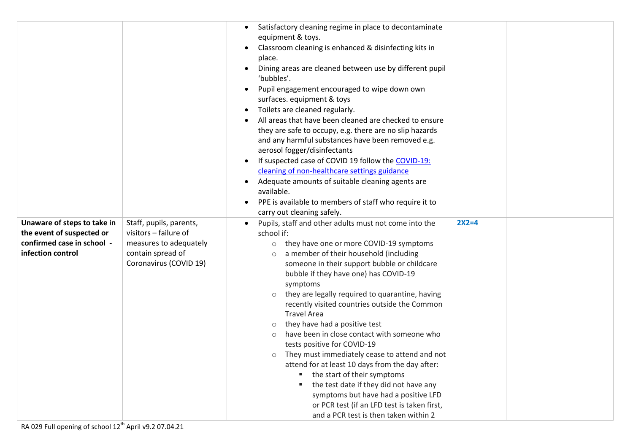|                                                                                                             |                                                                                                                           | Satisfactory cleaning regime in place to decontaminate<br>equipment & toys.<br>Classroom cleaning is enhanced & disinfecting kits in<br>place.<br>Dining areas are cleaned between use by different pupil<br>'bubbles'.<br>Pupil engagement encouraged to wipe down own<br>surfaces. equipment & toys<br>Toilets are cleaned regularly.<br>$\bullet$<br>All areas that have been cleaned are checked to ensure<br>they are safe to occupy, e.g. there are no slip hazards<br>and any harmful substances have been removed e.g.<br>aerosol fogger/disinfectants<br>If suspected case of COVID 19 follow the COVID-19:<br>cleaning of non-healthcare settings guidance<br>Adequate amounts of suitable cleaning agents are<br>$\bullet$<br>available.<br>PPE is available to members of staff who require it to<br>carry out cleaning safely.                                           |         |  |
|-------------------------------------------------------------------------------------------------------------|---------------------------------------------------------------------------------------------------------------------------|---------------------------------------------------------------------------------------------------------------------------------------------------------------------------------------------------------------------------------------------------------------------------------------------------------------------------------------------------------------------------------------------------------------------------------------------------------------------------------------------------------------------------------------------------------------------------------------------------------------------------------------------------------------------------------------------------------------------------------------------------------------------------------------------------------------------------------------------------------------------------------------|---------|--|
| Unaware of steps to take in<br>the event of suspected or<br>confirmed case in school -<br>infection control | Staff, pupils, parents,<br>visitors - failure of<br>measures to adequately<br>contain spread of<br>Coronavirus (COVID 19) | Pupils, staff and other adults must not come into the<br>school if:<br>they have one or more COVID-19 symptoms<br>$\circ$<br>a member of their household (including<br>$\circ$<br>someone in their support bubble or childcare<br>bubble if they have one) has COVID-19<br>symptoms<br>they are legally required to quarantine, having<br>$\circ$<br>recently visited countries outside the Common<br><b>Travel Area</b><br>they have had a positive test<br>$\circ$<br>have been in close contact with someone who<br>$\circ$<br>tests positive for COVID-19<br>They must immediately cease to attend and not<br>$\circ$<br>attend for at least 10 days from the day after:<br>the start of their symptoms<br>the test date if they did not have any<br>symptoms but have had a positive LFD<br>or PCR test (if an LFD test is taken first,<br>and a PCR test is then taken within 2 | $2X2=4$ |  |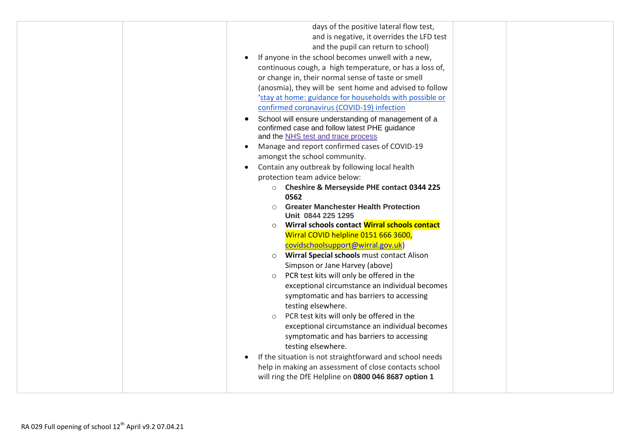| days of the positive lateral flow test,                           |
|-------------------------------------------------------------------|
| and is negative, it overrides the LFD test                        |
| and the pupil can return to school)                               |
| If anyone in the school becomes unwell with a new,                |
| continuous cough, a high temperature, or has a loss of,           |
| or change in, their normal sense of taste or smell                |
| (anosmia), they will be sent home and advised to follow           |
| 'stay at home: guidance for households with possible or           |
| confirmed coronavirus (COVID-19) infection                        |
| School will ensure understanding of management of a               |
| confirmed case and follow latest PHE guidance                     |
| and the NHS test and trace process                                |
| Manage and report confirmed cases of COVID-19                     |
| amongst the school community.                                     |
| Contain any outbreak by following local health<br>$\bullet$       |
| protection team advice below:                                     |
| O Cheshire & Merseyside PHE contact 0344 225                      |
| 0562<br><b>Greater Manchester Health Protection</b><br>$\bigcirc$ |
| Unit 0844 225 1295                                                |
| Wirral schools contact Wirral schools contact<br>$\circ$          |
| Wirral COVID helpline 0151 666 3600,                              |
| covidschoolsupport@wirral.gov.uk)                                 |
| Wirral Special schools must contact Alison<br>$\circ$             |
| Simpson or Jane Harvey (above)                                    |
| PCR test kits will only be offered in the<br>$\circ$              |
| exceptional circumstance an individual becomes                    |
| symptomatic and has barriers to accessing                         |
| testing elsewhere.                                                |
| PCR test kits will only be offered in the<br>$\circ$              |
| exceptional circumstance an individual becomes                    |
| symptomatic and has barriers to accessing                         |
| testing elsewhere.                                                |
| If the situation is not straightforward and school needs          |
| help in making an assessment of close contacts school             |
| will ring the DfE Helpline on 0800 046 8687 option 1              |
|                                                                   |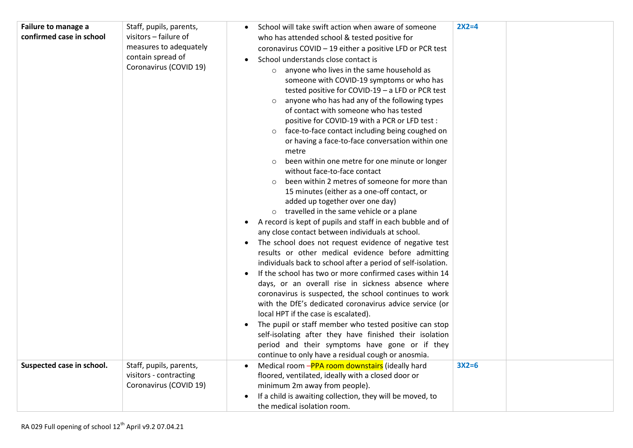| Failure to manage a<br>confirmed case in school | Staff, pupils, parents,<br>visitors - failure of<br>measures to adequately<br>contain spread of<br>Coronavirus (COVID 19) | $2X2=4$<br>School will take swift action when aware of someone<br>who has attended school & tested positive for<br>coronavirus COVID - 19 either a positive LFD or PCR test<br>School understands close contact is<br>anyone who lives in the same household as<br>$\circ$<br>someone with COVID-19 symptoms or who has<br>tested positive for COVID-19 - a LFD or PCR test<br>anyone who has had any of the following types<br>of contact with someone who has tested<br>positive for COVID-19 with a PCR or LFD test:<br>face-to-face contact including being coughed on<br>or having a face-to-face conversation within one<br>metre<br>been within one metre for one minute or longer<br>$\circ$<br>without face-to-face contact<br>been within 2 metres of someone for more than<br>15 minutes (either as a one-off contact, or<br>added up together over one day)<br>o travelled in the same vehicle or a plane<br>A record is kept of pupils and staff in each bubble and of<br>$\bullet$<br>any close contact between individuals at school.<br>The school does not request evidence of negative test<br>results or other medical evidence before admitting<br>individuals back to school after a period of self-isolation.<br>If the school has two or more confirmed cases within 14<br>days, or an overall rise in sickness absence where<br>coronavirus is suspected, the school continues to work<br>with the DfE's dedicated coronavirus advice service (or<br>local HPT if the case is escalated). |
|-------------------------------------------------|---------------------------------------------------------------------------------------------------------------------------|-------------------------------------------------------------------------------------------------------------------------------------------------------------------------------------------------------------------------------------------------------------------------------------------------------------------------------------------------------------------------------------------------------------------------------------------------------------------------------------------------------------------------------------------------------------------------------------------------------------------------------------------------------------------------------------------------------------------------------------------------------------------------------------------------------------------------------------------------------------------------------------------------------------------------------------------------------------------------------------------------------------------------------------------------------------------------------------------------------------------------------------------------------------------------------------------------------------------------------------------------------------------------------------------------------------------------------------------------------------------------------------------------------------------------------------------------------------------------------------------------------------------|
|                                                 |                                                                                                                           | The pupil or staff member who tested positive can stop<br>self-isolating after they have finished their isolation<br>period and their symptoms have gone or if they<br>continue to only have a residual cough or anosmia.                                                                                                                                                                                                                                                                                                                                                                                                                                                                                                                                                                                                                                                                                                                                                                                                                                                                                                                                                                                                                                                                                                                                                                                                                                                                                         |
| Suspected case in school.                       | Staff, pupils, parents,<br>visitors - contracting<br>Coronavirus (COVID 19)                                               | $3X2=6$<br>Medical room -PPA room downstairs (ideally hard<br>floored, ventilated, ideally with a closed door or<br>minimum 2m away from people).<br>If a child is awaiting collection, they will be moved, to<br>the medical isolation room.                                                                                                                                                                                                                                                                                                                                                                                                                                                                                                                                                                                                                                                                                                                                                                                                                                                                                                                                                                                                                                                                                                                                                                                                                                                                     |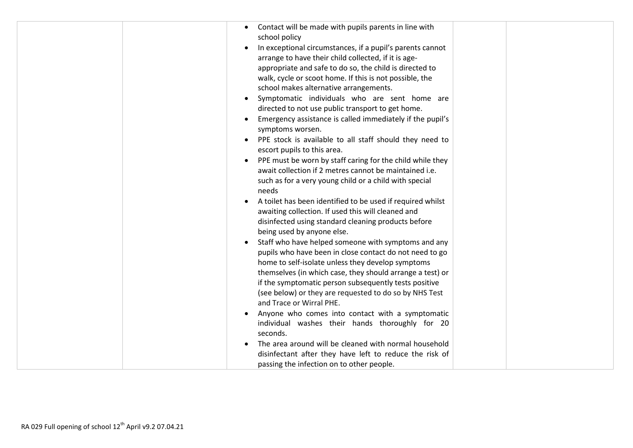| Contact will be made with pupils parents in line with<br>school policy<br>In exceptional circumstances, if a pupil's parents cannot<br>$\bullet$<br>arrange to have their child collected, if it is age-<br>appropriate and safe to do so, the child is directed to<br>walk, cycle or scoot home. If this is not possible, the<br>school makes alternative arrangements.<br>Symptomatic individuals who are sent home are<br>$\bullet$<br>directed to not use public transport to get home.<br>Emergency assistance is called immediately if the pupil's<br>$\bullet$<br>symptoms worsen.<br>PPE stock is available to all staff should they need to<br>escort pupils to this area.<br>PPE must be worn by staff caring for the child while they<br>await collection if 2 metres cannot be maintained i.e.<br>such as for a very young child or a child with special<br>needs<br>A toilet has been identified to be used if required whilst<br>awaiting collection. If used this will cleaned and<br>disinfected using standard cleaning products before<br>being used by anyone else.<br>Staff who have helped someone with symptoms and any<br>pupils who have been in close contact do not need to go<br>home to self-isolate unless they develop symptoms<br>themselves (in which case, they should arrange a test) or<br>if the symptomatic person subsequently tests positive<br>(see below) or they are requested to do so by NHS Test |
|-----------------------------------------------------------------------------------------------------------------------------------------------------------------------------------------------------------------------------------------------------------------------------------------------------------------------------------------------------------------------------------------------------------------------------------------------------------------------------------------------------------------------------------------------------------------------------------------------------------------------------------------------------------------------------------------------------------------------------------------------------------------------------------------------------------------------------------------------------------------------------------------------------------------------------------------------------------------------------------------------------------------------------------------------------------------------------------------------------------------------------------------------------------------------------------------------------------------------------------------------------------------------------------------------------------------------------------------------------------------------------------------------------------------------------------------------|
| and Trace or Wirral PHE.                                                                                                                                                                                                                                                                                                                                                                                                                                                                                                                                                                                                                                                                                                                                                                                                                                                                                                                                                                                                                                                                                                                                                                                                                                                                                                                                                                                                                      |
| Anyone who comes into contact with a symptomatic<br>individual washes their hands thoroughly for 20<br>seconds.                                                                                                                                                                                                                                                                                                                                                                                                                                                                                                                                                                                                                                                                                                                                                                                                                                                                                                                                                                                                                                                                                                                                                                                                                                                                                                                               |
| The area around will be cleaned with normal household<br>disinfectant after they have left to reduce the risk of<br>passing the infection on to other people.                                                                                                                                                                                                                                                                                                                                                                                                                                                                                                                                                                                                                                                                                                                                                                                                                                                                                                                                                                                                                                                                                                                                                                                                                                                                                 |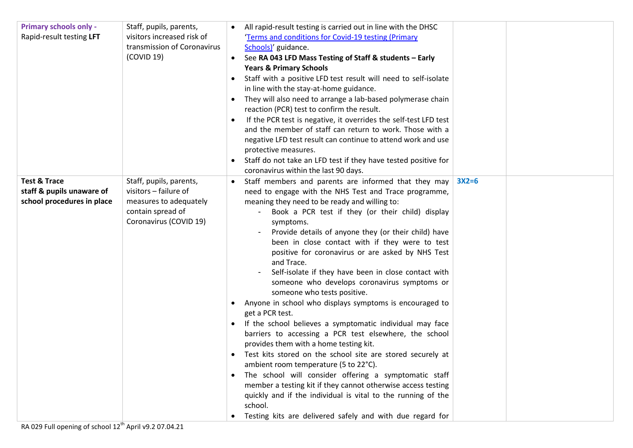| <b>Primary schools only -</b><br>Rapid-result testing LFT                          | Staff, pupils, parents,<br>visitors increased risk of<br>transmission of Coronavirus<br>(COVID 19)                        | All rapid-result testing is carried out in line with the DHSC<br>'Terms and conditions for Covid-19 testing (Primary<br>Schools)' guidance.<br>See RA 043 LFD Mass Testing of Staff & students - Early<br><b>Years &amp; Primary Schools</b><br>Staff with a positive LFD test result will need to self-isolate<br>in line with the stay-at-home guidance.<br>They will also need to arrange a lab-based polymerase chain<br>reaction (PCR) test to confirm the result.<br>If the PCR test is negative, it overrides the self-test LFD test<br>$\bullet$<br>and the member of staff can return to work. Those with a<br>negative LFD test result can continue to attend work and use<br>protective measures.<br>Staff do not take an LFD test if they have tested positive for<br>coronavirus within the last 90 days.                                                                                                                                                                                                                                                                                                                                                                  |         |  |
|------------------------------------------------------------------------------------|---------------------------------------------------------------------------------------------------------------------------|-----------------------------------------------------------------------------------------------------------------------------------------------------------------------------------------------------------------------------------------------------------------------------------------------------------------------------------------------------------------------------------------------------------------------------------------------------------------------------------------------------------------------------------------------------------------------------------------------------------------------------------------------------------------------------------------------------------------------------------------------------------------------------------------------------------------------------------------------------------------------------------------------------------------------------------------------------------------------------------------------------------------------------------------------------------------------------------------------------------------------------------------------------------------------------------------|---------|--|
| <b>Test &amp; Trace</b><br>staff & pupils unaware of<br>school procedures in place | Staff, pupils, parents,<br>visitors - failure of<br>measures to adequately<br>contain spread of<br>Coronavirus (COVID 19) | Staff members and parents are informed that they may<br>need to engage with the NHS Test and Trace programme,<br>meaning they need to be ready and willing to:<br>Book a PCR test if they (or their child) display<br>symptoms.<br>Provide details of anyone they (or their child) have<br>been in close contact with if they were to test<br>positive for coronavirus or are asked by NHS Test<br>and Trace.<br>Self-isolate if they have been in close contact with<br>someone who develops coronavirus symptoms or<br>someone who tests positive.<br>Anyone in school who displays symptoms is encouraged to<br>get a PCR test.<br>If the school believes a symptomatic individual may face<br>barriers to accessing a PCR test elsewhere, the school<br>provides them with a home testing kit.<br>Test kits stored on the school site are stored securely at<br>$\bullet$<br>ambient room temperature (5 to 22°C).<br>The school will consider offering a symptomatic staff<br>member a testing kit if they cannot otherwise access testing<br>quickly and if the individual is vital to the running of the<br>school.<br>Testing kits are delivered safely and with due regard for | $3X2=6$ |  |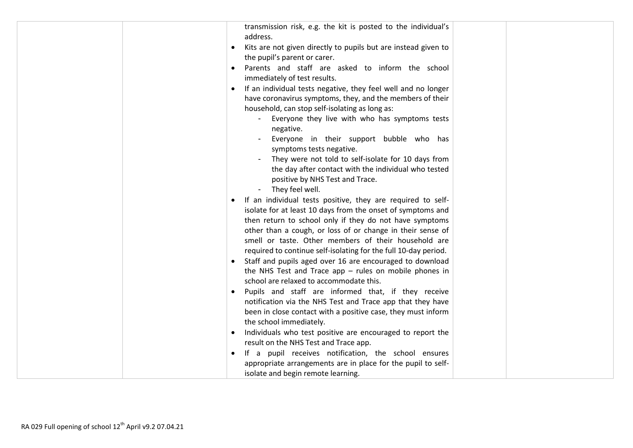| transmission risk, e.g. the kit is posted to the individual's<br>address.                           |
|-----------------------------------------------------------------------------------------------------|
| Kits are not given directly to pupils but are instead given to                                      |
| the pupil's parent or carer.                                                                        |
| Parents and staff are asked to inform the school                                                    |
| immediately of test results.                                                                        |
| If an individual tests negative, they feel well and no longer                                       |
| have coronavirus symptoms, they, and the members of their                                           |
| household, can stop self-isolating as long as:                                                      |
| Everyone they live with who has symptoms tests                                                      |
| negative.                                                                                           |
| Everyone in their support bubble who has                                                            |
| symptoms tests negative.                                                                            |
| They were not told to self-isolate for 10 days from                                                 |
| the day after contact with the individual who tested<br>positive by NHS Test and Trace.             |
| They feel well.<br>$\qquad \qquad \blacksquare$                                                     |
| If an individual tests positive, they are required to self-                                         |
| isolate for at least 10 days from the onset of symptoms and                                         |
| then return to school only if they do not have symptoms                                             |
| other than a cough, or loss of or change in their sense of                                          |
| smell or taste. Other members of their household are                                                |
| required to continue self-isolating for the full 10-day period.                                     |
| Staff and pupils aged over 16 are encouraged to download                                            |
| the NHS Test and Trace app $-$ rules on mobile phones in                                            |
| school are relaxed to accommodate this.                                                             |
| Pupils and staff are informed that, if they receive                                                 |
| notification via the NHS Test and Trace app that they have                                          |
| been in close contact with a positive case, they must inform                                        |
| the school immediately.                                                                             |
| Individuals who test positive are encouraged to report the<br>result on the NHS Test and Trace app. |
| If a pupil receives notification, the school ensures                                                |
| appropriate arrangements are in place for the pupil to self-                                        |
| isolate and begin remote learning.                                                                  |
|                                                                                                     |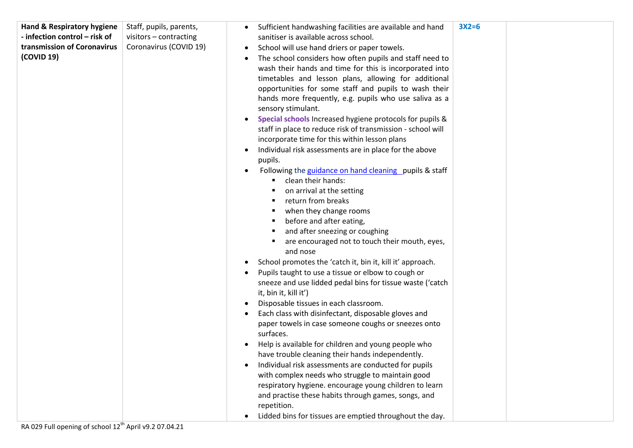| Hand & Respiratory hygiene    | Staff, pupils, parents, | Sufficient handwashing facilities are available and hand              | $3X2=6$ |  |
|-------------------------------|-------------------------|-----------------------------------------------------------------------|---------|--|
| - infection control - risk of | visitors - contracting  | sanitiser is available across school.                                 |         |  |
| transmission of Coronavirus   | Coronavirus (COVID 19)  | School will use hand driers or paper towels.                          |         |  |
| (COVID 19)                    |                         | The school considers how often pupils and staff need to               |         |  |
|                               |                         | wash their hands and time for this is incorporated into               |         |  |
|                               |                         | timetables and lesson plans, allowing for additional                  |         |  |
|                               |                         | opportunities for some staff and pupils to wash their                 |         |  |
|                               |                         | hands more frequently, e.g. pupils who use saliva as a                |         |  |
|                               |                         | sensory stimulant.                                                    |         |  |
|                               |                         | Special schools Increased hygiene protocols for pupils &<br>$\bullet$ |         |  |
|                               |                         | staff in place to reduce risk of transmission - school will           |         |  |
|                               |                         | incorporate time for this within lesson plans                         |         |  |
|                               |                         | Individual risk assessments are in place for the above                |         |  |
|                               |                         | pupils.                                                               |         |  |
|                               |                         | Following the guidance on hand cleaning pupils & staff                |         |  |
|                               |                         | clean their hands:                                                    |         |  |
|                               |                         | on arrival at the setting                                             |         |  |
|                               |                         | return from breaks<br>п                                               |         |  |
|                               |                         | when they change rooms                                                |         |  |
|                               |                         | before and after eating,                                              |         |  |
|                               |                         | and after sneezing or coughing<br>٠                                   |         |  |
|                               |                         | are encouraged not to touch their mouth, eyes,                        |         |  |
|                               |                         | and nose                                                              |         |  |
|                               |                         | School promotes the 'catch it, bin it, kill it' approach.             |         |  |
|                               |                         | Pupils taught to use a tissue or elbow to cough or                    |         |  |
|                               |                         | sneeze and use lidded pedal bins for tissue waste ('catch             |         |  |
|                               |                         | it, bin it, kill it')                                                 |         |  |
|                               |                         | Disposable tissues in each classroom.                                 |         |  |
|                               |                         | Each class with disinfectant, disposable gloves and                   |         |  |
|                               |                         | paper towels in case someone coughs or sneezes onto                   |         |  |
|                               |                         | surfaces.                                                             |         |  |
|                               |                         | Help is available for children and young people who                   |         |  |
|                               |                         | have trouble cleaning their hands independently.                      |         |  |
|                               |                         | Individual risk assessments are conducted for pupils                  |         |  |
|                               |                         | with complex needs who struggle to maintain good                      |         |  |
|                               |                         | respiratory hygiene. encourage young children to learn                |         |  |
|                               |                         | and practise these habits through games, songs, and                   |         |  |
|                               |                         | repetition.                                                           |         |  |
|                               |                         | Lidded bins for tissues are emptied throughout the day.               |         |  |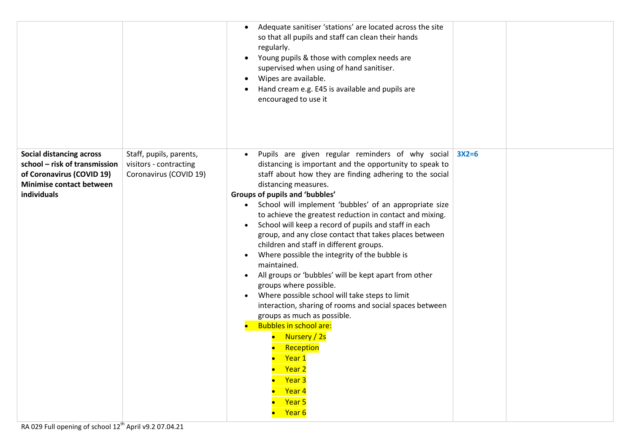|                                                                                                                                                 |                                                                             | Adequate sanitiser 'stations' are located across the site<br>so that all pupils and staff can clean their hands<br>regularly.<br>Young pupils & those with complex needs are<br>$\bullet$<br>supervised when using of hand sanitiser.<br>Wipes are available.<br>$\bullet$<br>Hand cream e.g. E45 is available and pupils are<br>encouraged to use it                                                                                                                                                                                                                                                                                                                                                                                                                                                                                                                                                                                                                                                                                               |         |
|-------------------------------------------------------------------------------------------------------------------------------------------------|-----------------------------------------------------------------------------|-----------------------------------------------------------------------------------------------------------------------------------------------------------------------------------------------------------------------------------------------------------------------------------------------------------------------------------------------------------------------------------------------------------------------------------------------------------------------------------------------------------------------------------------------------------------------------------------------------------------------------------------------------------------------------------------------------------------------------------------------------------------------------------------------------------------------------------------------------------------------------------------------------------------------------------------------------------------------------------------------------------------------------------------------------|---------|
| <b>Social distancing across</b><br>school - risk of transmission<br>of Coronavirus (COVID 19)<br><b>Minimise contact between</b><br>individuals | Staff, pupils, parents,<br>visitors - contracting<br>Coronavirus (COVID 19) | Pupils are given regular reminders of why social<br>$\bullet$<br>distancing is important and the opportunity to speak to<br>staff about how they are finding adhering to the social<br>distancing measures.<br>Groups of pupils and 'bubbles'<br>• School will implement 'bubbles' of an appropriate size<br>to achieve the greatest reduction in contact and mixing.<br>School will keep a record of pupils and staff in each<br>$\bullet$<br>group, and any close contact that takes places between<br>children and staff in different groups.<br>Where possible the integrity of the bubble is<br>$\bullet$<br>maintained.<br>All groups or 'bubbles' will be kept apart from other<br>$\bullet$<br>groups where possible.<br>Where possible school will take steps to limit<br>$\bullet$<br>interaction, sharing of rooms and social spaces between<br>groups as much as possible.<br><b>Bubbles in school are:</b><br>Nursery / 2s<br>Reception<br><mark>Year 1</mark><br>Year <sub>2</sub><br>Year <sub>3</sub><br>Year 4<br>Year 5<br>Year 6 | $3X2=6$ |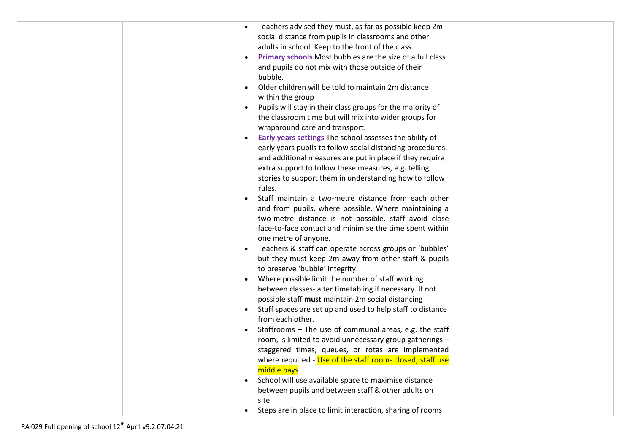| Teachers advised they must, as far as possible keep 2m                                                     |
|------------------------------------------------------------------------------------------------------------|
| social distance from pupils in classrooms and other                                                        |
| adults in school. Keep to the front of the class.                                                          |
| Primary schools Most bubbles are the size of a full class                                                  |
| and pupils do not mix with those outside of their                                                          |
| bubble.                                                                                                    |
| Older children will be told to maintain 2m distance                                                        |
| within the group                                                                                           |
| Pupils will stay in their class groups for the majority of                                                 |
| the classroom time but will mix into wider groups for                                                      |
| wraparound care and transport.                                                                             |
| Early years settings The school assesses the ability of                                                    |
| early years pupils to follow social distancing procedures,                                                 |
| and additional measures are put in place if they require                                                   |
| extra support to follow these measures, e.g. telling                                                       |
| stories to support them in understanding how to follow                                                     |
| rules.                                                                                                     |
| Staff maintain a two-metre distance from each other                                                        |
| and from pupils, where possible. Where maintaining a                                                       |
| two-metre distance is not possible, staff avoid close                                                      |
| face-to-face contact and minimise the time spent within                                                    |
| one metre of anyone.                                                                                       |
| Teachers & staff can operate across groups or 'bubbles'                                                    |
| but they must keep 2m away from other staff & pupils                                                       |
| to preserve 'bubble' integrity.                                                                            |
| Where possible limit the number of staff working                                                           |
| between classes- alter timetabling if necessary. If not                                                    |
| possible staff must maintain 2m social distancing                                                          |
| Staff spaces are set up and used to help staff to distance                                                 |
| from each other.                                                                                           |
| Staffrooms - The use of communal areas, e.g. the staff                                                     |
| room, is limited to avoid unnecessary group gatherings -                                                   |
| staggered times, queues, or rotas are implemented                                                          |
| where required - Use of the staff room- closed; staff use<br>middle bays                                   |
|                                                                                                            |
| School will use available space to maximise distance<br>between pupils and between staff & other adults on |
| site.                                                                                                      |
| Steps are in place to limit interaction, sharing of rooms<br>$\bullet$                                     |
|                                                                                                            |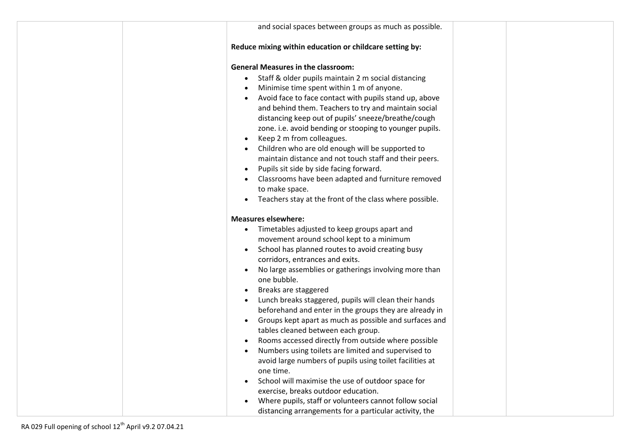| and social spaces between groups as much as possible.               |  |
|---------------------------------------------------------------------|--|
| Reduce mixing within education or childcare setting by:             |  |
| <b>General Measures in the classroom:</b>                           |  |
| Staff & older pupils maintain 2 m social distancing<br>$\bullet$    |  |
| Minimise time spent within 1 m of anyone.                           |  |
| Avoid face to face contact with pupils stand up, above<br>$\bullet$ |  |
| and behind them. Teachers to try and maintain social                |  |
| distancing keep out of pupils' sneeze/breathe/cough                 |  |
| zone. i.e. avoid bending or stooping to younger pupils.             |  |
| Keep 2 m from colleagues.<br>$\bullet$                              |  |
| Children who are old enough will be supported to                    |  |
| maintain distance and not touch staff and their peers.              |  |
| Pupils sit side by side facing forward.                             |  |
| Classrooms have been adapted and furniture removed                  |  |
| to make space.                                                      |  |
| Teachers stay at the front of the class where possible.             |  |
|                                                                     |  |
| <b>Measures elsewhere:</b>                                          |  |
| Timetables adjusted to keep groups apart and<br>$\bullet$           |  |
| movement around school kept to a minimum                            |  |
| School has planned routes to avoid creating busy<br>$\bullet$       |  |
| corridors, entrances and exits.                                     |  |
| No large assemblies or gatherings involving more than<br>$\bullet$  |  |
| one bubble.                                                         |  |
| Breaks are staggered<br>$\bullet$                                   |  |
| Lunch breaks staggered, pupils will clean their hands<br>$\bullet$  |  |
| beforehand and enter in the groups they are already in              |  |
| Groups kept apart as much as possible and surfaces and<br>$\bullet$ |  |
| tables cleaned between each group.                                  |  |
| Rooms accessed directly from outside where possible                 |  |
| Numbers using toilets are limited and supervised to<br>٠            |  |
| avoid large numbers of pupils using toilet facilities at            |  |
| one time.                                                           |  |
| School will maximise the use of outdoor space for<br>$\bullet$      |  |
| exercise, breaks outdoor education.                                 |  |
| Where pupils, staff or volunteers cannot follow social<br>$\bullet$ |  |
| distancing arrangements for a particular activity, the              |  |
|                                                                     |  |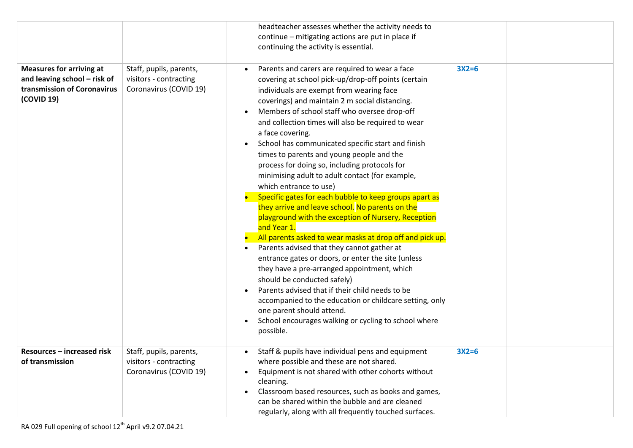|                                                                                                              |                                                                             | headteacher assesses whether the activity needs to<br>continue - mitigating actions are put in place if<br>continuing the activity is essential.                                                                                                                                                                                                                                                                                                                                                                                                                                                                                                                                                                                                                                                                                                                                                                                                                                                                                                                                                                                                                                                               |         |
|--------------------------------------------------------------------------------------------------------------|-----------------------------------------------------------------------------|----------------------------------------------------------------------------------------------------------------------------------------------------------------------------------------------------------------------------------------------------------------------------------------------------------------------------------------------------------------------------------------------------------------------------------------------------------------------------------------------------------------------------------------------------------------------------------------------------------------------------------------------------------------------------------------------------------------------------------------------------------------------------------------------------------------------------------------------------------------------------------------------------------------------------------------------------------------------------------------------------------------------------------------------------------------------------------------------------------------------------------------------------------------------------------------------------------------|---------|
| <b>Measures for arriving at</b><br>and leaving school - risk of<br>transmission of Coronavirus<br>(COVID 19) | Staff, pupils, parents,<br>visitors - contracting<br>Coronavirus (COVID 19) | Parents and carers are required to wear a face<br>covering at school pick-up/drop-off points (certain<br>individuals are exempt from wearing face<br>coverings) and maintain 2 m social distancing.<br>Members of school staff who oversee drop-off<br>and collection times will also be required to wear<br>a face covering.<br>School has communicated specific start and finish<br>times to parents and young people and the<br>process for doing so, including protocols for<br>minimising adult to adult contact (for example,<br>which entrance to use)<br>Specific gates for each bubble to keep groups apart as<br>they arrive and leave school. No parents on the<br>playground with the exception of Nursery, Reception<br>and Year 1.<br>All parents asked to wear masks at drop off and pick up.<br>Parents advised that they cannot gather at<br>entrance gates or doors, or enter the site (unless<br>they have a pre-arranged appointment, which<br>should be conducted safely)<br>Parents advised that if their child needs to be<br>accompanied to the education or childcare setting, only<br>one parent should attend.<br>School encourages walking or cycling to school where<br>possible. | $3X2=6$ |
| Resources - increased risk<br>of transmission                                                                | Staff, pupils, parents,<br>visitors - contracting<br>Coronavirus (COVID 19) | Staff & pupils have individual pens and equipment<br>where possible and these are not shared.<br>Equipment is not shared with other cohorts without<br>cleaning.<br>Classroom based resources, such as books and games,<br>can be shared within the bubble and are cleaned                                                                                                                                                                                                                                                                                                                                                                                                                                                                                                                                                                                                                                                                                                                                                                                                                                                                                                                                     | $3X2=6$ |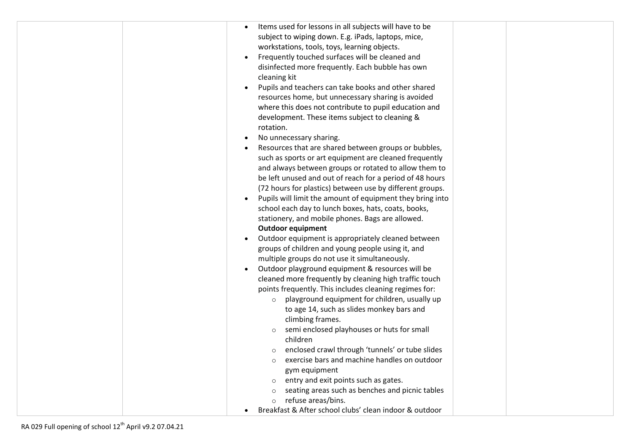| Items used for lessons in all subjects will have to be    |
|-----------------------------------------------------------|
| subject to wiping down. E.g. iPads, laptops, mice,        |
| workstations, tools, toys, learning objects.              |
| Frequently touched surfaces will be cleaned and           |
| disinfected more frequently. Each bubble has own          |
| cleaning kit                                              |
| Pupils and teachers can take books and other shared       |
| resources home, but unnecessary sharing is avoided        |
| where this does not contribute to pupil education and     |
| development. These items subject to cleaning &            |
| rotation.                                                 |
| No unnecessary sharing.                                   |
| Resources that are shared between groups or bubbles,      |
| such as sports or art equipment are cleaned frequently    |
| and always between groups or rotated to allow them to     |
| be left unused and out of reach for a period of 48 hours  |
| (72 hours for plastics) between use by different groups.  |
| Pupils will limit the amount of equipment they bring into |
| school each day to lunch boxes, hats, coats, books,       |
| stationery, and mobile phones. Bags are allowed.          |
| <b>Outdoor equipment</b>                                  |
| Outdoor equipment is appropriately cleaned between        |
| groups of children and young people using it, and         |
| multiple groups do not use it simultaneously.             |
| Outdoor playground equipment & resources will be          |
| cleaned more frequently by cleaning high traffic touch    |
| points frequently. This includes cleaning regimes for:    |
| playground equipment for children, usually up<br>$\circ$  |
| to age 14, such as slides monkey bars and                 |
| climbing frames.                                          |
| semi enclosed playhouses or huts for small                |
| children                                                  |
| enclosed crawl through 'tunnels' or tube slides           |
| exercise bars and machine handles on outdoor              |
| gym equipment                                             |
| entry and exit points such as gates.                      |
| seating areas such as benches and picnic tables           |
| refuse areas/bins.<br>$\circ$                             |
| Breakfast & After school clubs' clean indoor & outdoor    |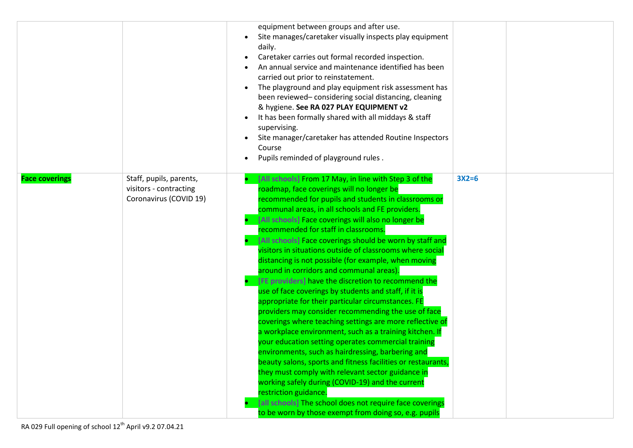|                       |                                                                             | equipment between groups and after use.<br>Site manages/caretaker visually inspects play equipment<br>daily.<br>Caretaker carries out formal recorded inspection.<br>An annual service and maintenance identified has been<br>carried out prior to reinstatement.<br>The playground and play equipment risk assessment has<br>been reviewed-considering social distancing, cleaning<br>& hygiene. See RA 027 PLAY EQUIPMENT v2<br>It has been formally shared with all middays & staff<br>supervising.<br>Site manager/caretaker has attended Routine Inspectors<br>Course<br>Pupils reminded of playground rules.                                                                                                                                                                                                                                                                                                                                                                                                                                                                                                                                                                                                                                                                                                                |         |  |
|-----------------------|-----------------------------------------------------------------------------|-----------------------------------------------------------------------------------------------------------------------------------------------------------------------------------------------------------------------------------------------------------------------------------------------------------------------------------------------------------------------------------------------------------------------------------------------------------------------------------------------------------------------------------------------------------------------------------------------------------------------------------------------------------------------------------------------------------------------------------------------------------------------------------------------------------------------------------------------------------------------------------------------------------------------------------------------------------------------------------------------------------------------------------------------------------------------------------------------------------------------------------------------------------------------------------------------------------------------------------------------------------------------------------------------------------------------------------|---------|--|
| <b>Face coverings</b> | Staff, pupils, parents,<br>visitors - contracting<br>Coronavirus (COVID 19) | [All schools] From 17 May, in line with Step 3 of the<br>roadmap, face coverings will no longer be<br>recommended for pupils and students in classrooms or<br>communal areas, in all schools and FE providers.<br>[All schools] Face coverings will also no longer be<br>recommended for staff in classrooms.<br>[All schools] Face coverings should be worn by staff and<br>visitors in situations outside of classrooms where social<br>distancing is not possible (for example, when moving<br>around in corridors and communal areas).<br>[FE providers] have the discretion to recommend the<br>use of face coverings by students and staff, if it is<br>appropriate for their particular circumstances. FE<br>providers may consider recommending the use of face<br>coverings where teaching settings are more reflective of<br>a workplace environment, such as a training kitchen. If<br>your education setting operates commercial training<br>environments, such as hairdressing, barbering and<br>beauty salons, sports and fitness facilities or restaurants,<br>they must comply with relevant sector guidance in<br>working safely during (COVID-19) and the current<br>restriction guidance.<br>[all schools] The school does not require face coverings<br>to be worn by those exempt from doing so, e.g. pupils | $3X2=6$ |  |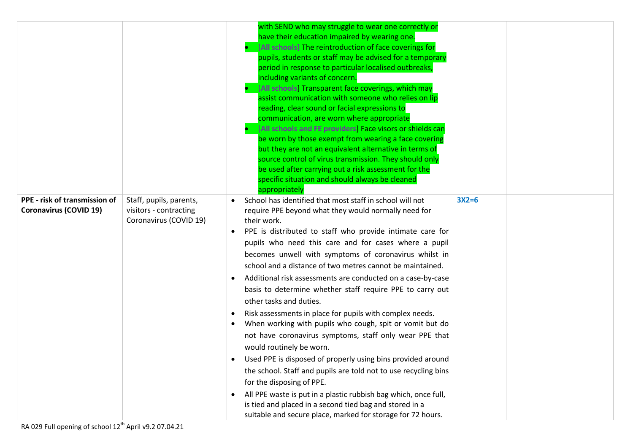|                                                                |                                                                             | with SEND who may struggle to wear one correctly or<br>have their education impaired by wearing one.<br>[All schools] The reintroduction of face coverings for<br>pupils, students or staff may be advised for a temporary<br>period in response to particular localised outbreaks,<br>including variants of concern.<br>[All schools] Transparent face coverings, which may<br>assist communication with someone who relies on lip<br>reading, clear sound or facial expressions to<br>communication, are worn where appropriate<br>[All schools and FE providers] Face visors or shields can<br>be worn by those exempt from wearing a face covering<br>but they are not an equivalent alternative in terms of<br>source control of virus transmission. They should only<br>be used after carrying out a risk assessment for the<br>specific situation and should always be cleaned<br>appropriately                                                                                                                                                                                                        |         |
|----------------------------------------------------------------|-----------------------------------------------------------------------------|---------------------------------------------------------------------------------------------------------------------------------------------------------------------------------------------------------------------------------------------------------------------------------------------------------------------------------------------------------------------------------------------------------------------------------------------------------------------------------------------------------------------------------------------------------------------------------------------------------------------------------------------------------------------------------------------------------------------------------------------------------------------------------------------------------------------------------------------------------------------------------------------------------------------------------------------------------------------------------------------------------------------------------------------------------------------------------------------------------------|---------|
| PPE - risk of transmission of<br><b>Coronavirus (COVID 19)</b> | Staff, pupils, parents,<br>visitors - contracting<br>Coronavirus (COVID 19) | School has identified that most staff in school will not<br>require PPE beyond what they would normally need for<br>their work.<br>PPE is distributed to staff who provide intimate care for<br>pupils who need this care and for cases where a pupil<br>becomes unwell with symptoms of coronavirus whilst in<br>school and a distance of two metres cannot be maintained.<br>Additional risk assessments are conducted on a case-by-case<br>basis to determine whether staff require PPE to carry out<br>other tasks and duties.<br>Risk assessments in place for pupils with complex needs.<br>When working with pupils who cough, spit or vomit but do<br>not have coronavirus symptoms, staff only wear PPE that<br>would routinely be worn.<br>Used PPE is disposed of properly using bins provided around<br>the school. Staff and pupils are told not to use recycling bins<br>for the disposing of PPE.<br>All PPE waste is put in a plastic rubbish bag which, once full,<br>is tied and placed in a second tied bag and stored in a<br>suitable and secure place, marked for storage for 72 hours. | $3X2=6$ |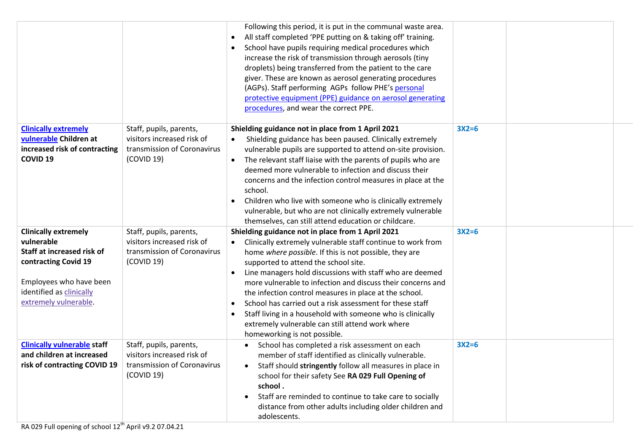|                                                                                                                                                                                 |                                                                                                    | Following this period, it is put in the communal waste area.<br>All staff completed 'PPE putting on & taking off' training.<br>$\bullet$<br>School have pupils requiring medical procedures which<br>increase the risk of transmission through aerosols (tiny<br>droplets) being transferred from the patient to the care<br>giver. These are known as aerosol generating procedures<br>(AGPs). Staff performing AGPs follow PHE's personal<br>protective equipment (PPE) guidance on aerosol generating<br>procedures, and wear the correct PPE.                                                                                  |         |  |
|---------------------------------------------------------------------------------------------------------------------------------------------------------------------------------|----------------------------------------------------------------------------------------------------|------------------------------------------------------------------------------------------------------------------------------------------------------------------------------------------------------------------------------------------------------------------------------------------------------------------------------------------------------------------------------------------------------------------------------------------------------------------------------------------------------------------------------------------------------------------------------------------------------------------------------------|---------|--|
| <b>Clinically extremely</b><br>vulnerable Children at<br>increased risk of contracting<br><b>COVID 19</b>                                                                       | Staff, pupils, parents,<br>visitors increased risk of<br>transmission of Coronavirus<br>(COVID 19) | Shielding guidance not in place from 1 April 2021<br>Shielding guidance has been paused. Clinically extremely<br>vulnerable pupils are supported to attend on-site provision.<br>The relevant staff liaise with the parents of pupils who are<br>$\bullet$<br>deemed more vulnerable to infection and discuss their<br>concerns and the infection control measures in place at the<br>school.<br>Children who live with someone who is clinically extremely<br>vulnerable, but who are not clinically extremely vulnerable<br>themselves, can still attend education or childcare.                                                 | $3X2=6$ |  |
| <b>Clinically extremely</b><br>vulnerable<br>Staff at increased risk of<br>contracting Covid 19<br>Employees who have been<br>identified as clinically<br>extremely vulnerable. | Staff, pupils, parents,<br>visitors increased risk of<br>transmission of Coronavirus<br>(COVID 19) | Shielding guidance not in place from 1 April 2021<br>Clinically extremely vulnerable staff continue to work from<br>home where possible. If this is not possible, they are<br>supported to attend the school site.<br>Line managers hold discussions with staff who are deemed<br>more vulnerable to infection and discuss their concerns and<br>the infection control measures in place at the school.<br>School has carried out a risk assessment for these staff<br>$\bullet$<br>Staff living in a household with someone who is clinically<br>extremely vulnerable can still attend work where<br>homeworking is not possible. | $3X2=6$ |  |
| <b>Clinically vulnerable staff</b><br>and children at increased<br>risk of contracting COVID 19                                                                                 | Staff, pupils, parents,<br>visitors increased risk of<br>transmission of Coronavirus<br>(COVID 19) | School has completed a risk assessment on each<br>member of staff identified as clinically vulnerable.<br>Staff should stringently follow all measures in place in<br>$\bullet$<br>school for their safety See RA 029 Full Opening of<br>school.<br>Staff are reminded to continue to take care to socially<br>distance from other adults including older children and<br>adolescents.                                                                                                                                                                                                                                             | $3X2=6$ |  |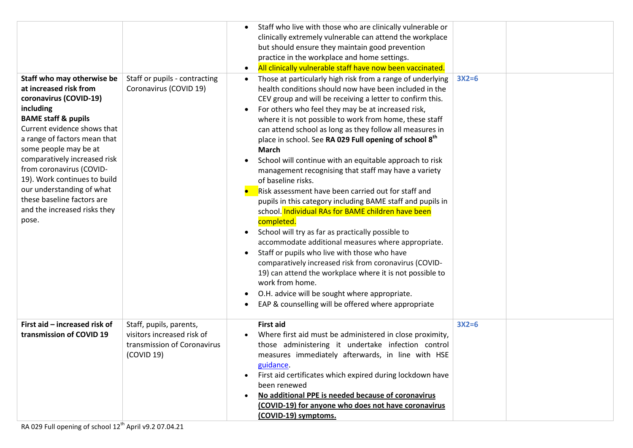|                                |                               | Staff who live with those who are clinically vulnerable or |         |  |
|--------------------------------|-------------------------------|------------------------------------------------------------|---------|--|
|                                |                               | clinically extremely vulnerable can attend the workplace   |         |  |
|                                |                               | but should ensure they maintain good prevention            |         |  |
|                                |                               | practice in the workplace and home settings.               |         |  |
|                                |                               | All clinically vulnerable staff have now been vaccinated.  |         |  |
| Staff who may otherwise be     | Staff or pupils - contracting | Those at particularly high risk from a range of underlying | $3X2=6$ |  |
| at increased risk from         | Coronavirus (COVID 19)        | health conditions should now have been included in the     |         |  |
| coronavirus (COVID-19)         |                               | CEV group and will be receiving a letter to confirm this.  |         |  |
| including                      |                               | For others who feel they may be at increased risk,         |         |  |
| <b>BAME staff &amp; pupils</b> |                               | where it is not possible to work from home, these staff    |         |  |
| Current evidence shows that    |                               | can attend school as long as they follow all measures in   |         |  |
| a range of factors mean that   |                               | place in school. See RA 029 Full opening of school 8th     |         |  |
| some people may be at          |                               | <b>March</b>                                               |         |  |
| comparatively increased risk   |                               | School will continue with an equitable approach to risk    |         |  |
| from coronavirus (COVID-       |                               | management recognising that staff may have a variety       |         |  |
| 19). Work continues to build   |                               | of baseline risks.                                         |         |  |
| our understanding of what      |                               | Risk assessment have been carried out for staff and        |         |  |
| these baseline factors are     |                               | pupils in this category including BAME staff and pupils in |         |  |
| and the increased risks they   |                               | school. Individual RAs for BAME children have been         |         |  |
| pose.                          |                               | completed.                                                 |         |  |
|                                |                               | School will try as far as practically possible to          |         |  |
|                                |                               | accommodate additional measures where appropriate.         |         |  |
|                                |                               | Staff or pupils who live with those who have               |         |  |
|                                |                               | comparatively increased risk from coronavirus (COVID-      |         |  |
|                                |                               | 19) can attend the workplace where it is not possible to   |         |  |
|                                |                               | work from home.                                            |         |  |
|                                |                               | O.H. advice will be sought where appropriate.              |         |  |
|                                |                               | EAP & counselling will be offered where appropriate        |         |  |
|                                |                               |                                                            |         |  |
| First aid - increased risk of  | Staff, pupils, parents,       | <b>First aid</b>                                           | $3X2=6$ |  |
| transmission of COVID 19       | visitors increased risk of    | Where first aid must be administered in close proximity,   |         |  |
|                                | transmission of Coronavirus   | those administering it undertake infection control         |         |  |
|                                | (COVID 19)                    | measures immediately afterwards, in line with HSE          |         |  |
|                                |                               | guidance.                                                  |         |  |
|                                |                               | First aid certificates which expired during lockdown have  |         |  |
|                                |                               | been renewed                                               |         |  |
|                                |                               | No additional PPE is needed because of coronavirus         |         |  |
|                                |                               | (COVID-19) for anyone who does not have coronavirus        |         |  |
|                                |                               | (COVID-19) symptoms.                                       |         |  |
|                                |                               |                                                            |         |  |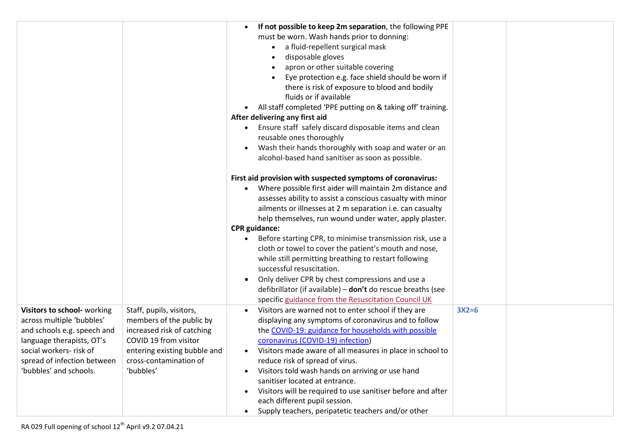|                             |                              | If not possible to keep 2m separation, the following PPE                 |         |  |
|-----------------------------|------------------------------|--------------------------------------------------------------------------|---------|--|
|                             |                              | must be worn. Wash hands prior to donning:                               |         |  |
|                             |                              | a fluid-repellent surgical mask                                          |         |  |
|                             |                              | disposable gloves                                                        |         |  |
|                             |                              | apron or other suitable covering                                         |         |  |
|                             |                              | Eye protection e.g. face shield should be worn if                        |         |  |
|                             |                              | there is risk of exposure to blood and bodily                            |         |  |
|                             |                              | fluids or if available                                                   |         |  |
|                             |                              | • All staff completed 'PPE putting on & taking off' training.            |         |  |
|                             |                              | After delivering any first aid                                           |         |  |
|                             |                              | Ensure staff safely discard disposable items and clean<br>$\bullet$      |         |  |
|                             |                              | reusable ones thoroughly                                                 |         |  |
|                             |                              | Wash their hands thoroughly with soap and water or an                    |         |  |
|                             |                              | alcohol-based hand sanitiser as soon as possible.                        |         |  |
|                             |                              |                                                                          |         |  |
|                             |                              | First aid provision with suspected symptoms of coronavirus:              |         |  |
|                             |                              | Where possible first aider will maintain 2m distance and                 |         |  |
|                             |                              | assesses ability to assist a conscious casualty with minor               |         |  |
|                             |                              | ailments or illnesses at 2 m separation i.e. can casualty                |         |  |
|                             |                              | help themselves, run wound under water, apply plaster.                   |         |  |
|                             |                              | <b>CPR</b> guidance:                                                     |         |  |
|                             |                              | Before starting CPR, to minimise transmission risk, use a                |         |  |
|                             |                              | cloth or towel to cover the patient's mouth and nose,                    |         |  |
|                             |                              | while still permitting breathing to restart following                    |         |  |
|                             |                              | successful resuscitation.                                                |         |  |
|                             |                              | Only deliver CPR by chest compressions and use a                         |         |  |
|                             |                              | defibrillator (if available) - don't do rescue breaths (see              |         |  |
|                             |                              | specific guidance from the Resuscitation Council UK                      |         |  |
| Visitors to school- working | Staff, pupils, visitors,     | Visitors are warned not to enter school if they are                      | $3X2=6$ |  |
| across multiple 'bubbles'   | members of the public by     | displaying any symptoms of coronavirus and to follow                     |         |  |
| and schools e.g. speech and | increased risk of catching   | the COVID-19: guidance for households with possible                      |         |  |
| language therapists, OT's   | COVID 19 from visitor        | coronavirus (COVID-19) infection)                                        |         |  |
| social workers- risk of     | entering existing bubble and | Visitors made aware of all measures in place in school to                |         |  |
| spread of infection between | cross-contamination of       | reduce risk of spread of virus.                                          |         |  |
| 'bubbles' and schools.      | 'bubbles'                    | Visitors told wash hands on arriving or use hand                         |         |  |
|                             |                              | sanitiser located at entrance.                                           |         |  |
|                             |                              | Visitors will be required to use sanitiser before and after<br>$\bullet$ |         |  |
|                             |                              | each different pupil session.                                            |         |  |
|                             |                              | Supply teachers, peripatetic teachers and/or other<br>$\bullet$          |         |  |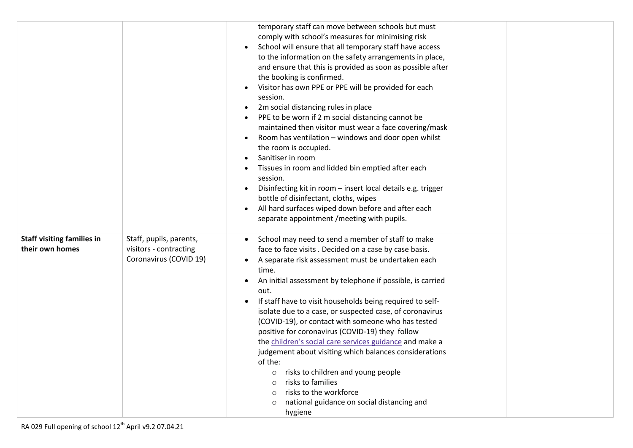|                                                      |                                                                             | temporary staff can move between schools but must<br>comply with school's measures for minimising risk<br>School will ensure that all temporary staff have access<br>to the information on the safety arrangements in place,<br>and ensure that this is provided as soon as possible after<br>the booking is confirmed.<br>Visitor has own PPE or PPE will be provided for each<br>session.<br>2m social distancing rules in place<br>PPE to be worn if 2 m social distancing cannot be<br>maintained then visitor must wear a face covering/mask<br>Room has ventilation - windows and door open whilst<br>the room is occupied.<br>Sanitiser in room<br>Tissues in room and lidded bin emptied after each<br>session.<br>Disinfecting kit in room - insert local details e.g. trigger<br>bottle of disinfectant, cloths, wipes<br>All hard surfaces wiped down before and after each<br>separate appointment / meeting with pupils. |  |
|------------------------------------------------------|-----------------------------------------------------------------------------|---------------------------------------------------------------------------------------------------------------------------------------------------------------------------------------------------------------------------------------------------------------------------------------------------------------------------------------------------------------------------------------------------------------------------------------------------------------------------------------------------------------------------------------------------------------------------------------------------------------------------------------------------------------------------------------------------------------------------------------------------------------------------------------------------------------------------------------------------------------------------------------------------------------------------------------|--|
| <b>Staff visiting families in</b><br>their own homes | Staff, pupils, parents,<br>visitors - contracting<br>Coronavirus (COVID 19) | School may need to send a member of staff to make<br>face to face visits. Decided on a case by case basis.<br>A separate risk assessment must be undertaken each<br>time.<br>An initial assessment by telephone if possible, is carried<br>out.<br>If staff have to visit households being required to self-<br>isolate due to a case, or suspected case, of coronavirus<br>(COVID-19), or contact with someone who has tested<br>positive for coronavirus (COVID-19) they follow<br>the children's social care services guidance and make a<br>judgement about visiting which balances considerations<br>of the:<br>risks to children and young people<br>$\circ$<br>risks to families<br>$\circ$<br>risks to the workforce<br>national guidance on social distancing and<br>$\circ$<br>hygiene                                                                                                                                      |  |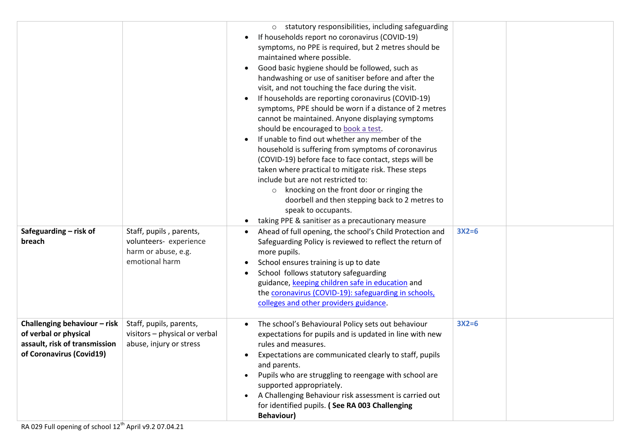|                                                                                                                    |                                                                                            | o statutory responsibilities, including safeguarding<br>If households report no coronavirus (COVID-19)<br>symptoms, no PPE is required, but 2 metres should be<br>maintained where possible.<br>Good basic hygiene should be followed, such as<br>handwashing or use of sanitiser before and after the<br>visit, and not touching the face during the visit.<br>If households are reporting coronavirus (COVID-19)<br>symptoms, PPE should be worn if a distance of 2 metres<br>cannot be maintained. Anyone displaying symptoms<br>should be encouraged to book a test.<br>If unable to find out whether any member of the<br>household is suffering from symptoms of coronavirus<br>(COVID-19) before face to face contact, steps will be<br>taken where practical to mitigate risk. These steps<br>include but are not restricted to:<br>knocking on the front door or ringing the<br>$\circ$<br>doorbell and then stepping back to 2 metres to<br>speak to occupants.<br>taking PPE & sanitiser as a precautionary measure |         |  |
|--------------------------------------------------------------------------------------------------------------------|--------------------------------------------------------------------------------------------|--------------------------------------------------------------------------------------------------------------------------------------------------------------------------------------------------------------------------------------------------------------------------------------------------------------------------------------------------------------------------------------------------------------------------------------------------------------------------------------------------------------------------------------------------------------------------------------------------------------------------------------------------------------------------------------------------------------------------------------------------------------------------------------------------------------------------------------------------------------------------------------------------------------------------------------------------------------------------------------------------------------------------------|---------|--|
| Safeguarding - risk of<br>breach                                                                                   | Staff, pupils, parents,<br>volunteers- experience<br>harm or abuse, e.g.<br>emotional harm | Ahead of full opening, the school's Child Protection and<br>Safeguarding Policy is reviewed to reflect the return of<br>more pupils.<br>School ensures training is up to date<br>School follows statutory safeguarding<br>guidance, keeping children safe in education and<br>the coronavirus (COVID-19): safeguarding in schools,<br>colleges and other providers guidance.                                                                                                                                                                                                                                                                                                                                                                                                                                                                                                                                                                                                                                                   | $3X2=6$ |  |
| Challenging behaviour - risk<br>of verbal or physical<br>assault, risk of transmission<br>of Coronavirus (Covid19) | Staff, pupils, parents,<br>visitors - physical or verbal<br>abuse, injury or stress        | The school's Behavioural Policy sets out behaviour<br>expectations for pupils and is updated in line with new<br>rules and measures.<br>Expectations are communicated clearly to staff, pupils<br>and parents.<br>Pupils who are struggling to reengage with school are<br>supported appropriately.<br>A Challenging Behaviour risk assessment is carried out<br>for identified pupils. (See RA 003 Challenging<br><b>Behaviour)</b>                                                                                                                                                                                                                                                                                                                                                                                                                                                                                                                                                                                           | $3X2=6$ |  |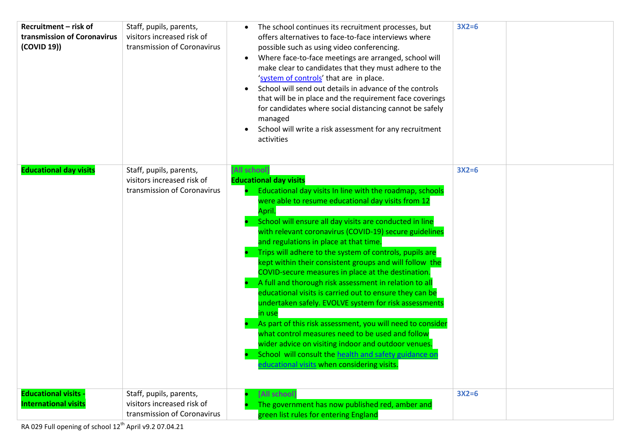| Recruitment - risk of<br>transmission of Coronavirus<br>(COVID 19)) | Staff, pupils, parents,<br>visitors increased risk of<br>transmission of Coronavirus | The school continues its recruitment processes, but<br>offers alternatives to face-to-face interviews where<br>possible such as using video conferencing.<br>Where face-to-face meetings are arranged, school will<br>$\bullet$<br>make clear to candidates that they must adhere to the<br>'system of controls' that are in place.<br>School will send out details in advance of the controls<br>that will be in place and the requirement face coverings<br>for candidates where social distancing cannot be safely<br>managed<br>School will write a risk assessment for any recruitment<br>activities                                                                                                                                                                                                                                                                                                                                                                                     | $3X2=6$ |  |
|---------------------------------------------------------------------|--------------------------------------------------------------------------------------|-----------------------------------------------------------------------------------------------------------------------------------------------------------------------------------------------------------------------------------------------------------------------------------------------------------------------------------------------------------------------------------------------------------------------------------------------------------------------------------------------------------------------------------------------------------------------------------------------------------------------------------------------------------------------------------------------------------------------------------------------------------------------------------------------------------------------------------------------------------------------------------------------------------------------------------------------------------------------------------------------|---------|--|
| <b>Educational day visits</b>                                       | Staff, pupils, parents,<br>visitors increased risk of<br>transmission of Coronavirus | [All school]<br><b>Educational day visits</b><br>Educational day visits In line with the roadmap, schools<br>were able to resume educational day visits from 12<br>April.<br>School will ensure all day visits are conducted in line<br>with relevant coronavirus (COVID-19) secure guidelines<br>and regulations in place at that time.<br>Trips will adhere to the system of controls, pupils are<br>kept within their consistent groups and will follow the<br>COVID-secure measures in place at the destination.<br>A full and thorough risk assessment in relation to all<br>educational visits is carried out to ensure they can be<br>undertaken safely. EVOLVE system for risk assessments<br>in use<br>As part of this risk assessment, you will need to consider<br>what control measures need to be used and follow<br>wider advice on visiting indoor and outdoor venues.<br>School will consult the health and safety guidance or<br>educational visits when considering visits. | $3X2=6$ |  |
| <b>Educational visits -</b><br><b>International visits</b>          | Staff, pupils, parents,<br>visitors increased risk of<br>transmission of Coronavirus | [All school]<br>The government has now published red, amber and<br>green list rules for entering England                                                                                                                                                                                                                                                                                                                                                                                                                                                                                                                                                                                                                                                                                                                                                                                                                                                                                      | $3X2=6$ |  |

RA 029 Full opening of school 12<sup>th</sup> April v9.2 07.04.21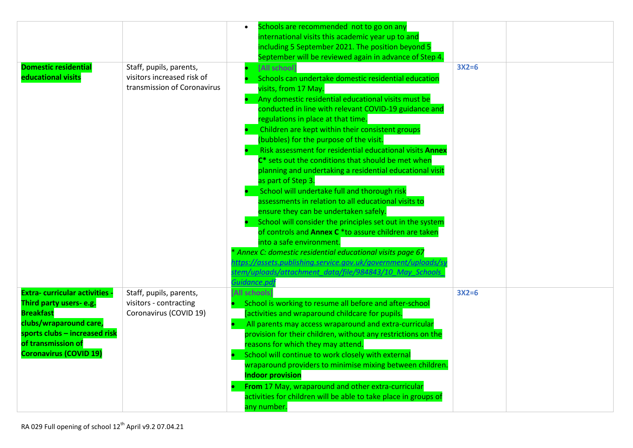|                                                         |                             | Schools are recommended not to go on any<br>international visits this academic year up to and |         |  |
|---------------------------------------------------------|-----------------------------|-----------------------------------------------------------------------------------------------|---------|--|
|                                                         |                             | including 5 September 2021. The position beyond 5                                             |         |  |
|                                                         |                             | September will be reviewed again in advance of Step 4.                                        |         |  |
| <b>Domestic residential</b>                             | Staff, pupils, parents,     | [All school]                                                                                  | $3X2=6$ |  |
| educational visits                                      | visitors increased risk of  | Schools can undertake domestic residential education                                          |         |  |
|                                                         | transmission of Coronavirus | visits, from 17 May.                                                                          |         |  |
|                                                         |                             | Any domestic residential educational visits must be                                           |         |  |
|                                                         |                             | conducted in line with relevant COVID-19 guidance and                                         |         |  |
|                                                         |                             | regulations in place at that time.                                                            |         |  |
|                                                         |                             | Children are kept within their consistent groups                                              |         |  |
|                                                         |                             | (bubbles) for the purpose of the visit.                                                       |         |  |
|                                                         |                             | Risk assessment for residential educational visits Annex                                      |         |  |
|                                                         |                             | C <sup>*</sup> sets out the conditions that should be met when                                |         |  |
|                                                         |                             | planning and undertaking a residential educational visit                                      |         |  |
|                                                         |                             | as part of Step 3.                                                                            |         |  |
|                                                         |                             | School will undertake full and thorough risk                                                  |         |  |
|                                                         |                             | assessments in relation to all educational visits to                                          |         |  |
|                                                         |                             | ensure they can be undertaken safely.                                                         |         |  |
|                                                         |                             | School will consider the principles set out in the system                                     |         |  |
|                                                         |                             | of controls and Annex C *to assure children are taken                                         |         |  |
|                                                         |                             | into a safe environment.                                                                      |         |  |
|                                                         |                             | * Annex C: domestic residential educational visits page 67                                    |         |  |
|                                                         |                             | nttps://assets.publishing.service.gov.uk/government/uploads/sy                                |         |  |
|                                                         |                             | stem/uploads/attachment data/file/984843/10 May Schools                                       |         |  |
|                                                         |                             | Guidance.pd                                                                                   |         |  |
| <b>Extra-curricular activities -</b>                    | Staff, pupils, parents,     | [All schools]                                                                                 | $3X2=6$ |  |
| Third party users-e.g.                                  | visitors - contracting      | School is working to resume all before and after-school                                       |         |  |
| <b>Breakfast</b>                                        | Coronavirus (COVID 19)      | [activities and wraparound childcare for pupils.                                              |         |  |
| clubs/wraparound care,<br>sports clubs - increased risk |                             | All parents may access wraparound and extra-curricular                                        |         |  |
| of transmission of                                      |                             | provision for their children, without any restrictions on the                                 |         |  |
| <b>Coronavirus (COVID 19)</b>                           |                             | reasons for which they may attend.<br>School will continue to work closely with external      |         |  |
|                                                         |                             | wraparound providers to minimise mixing between children.                                     |         |  |
|                                                         |                             | <b>Indoor provision</b>                                                                       |         |  |
|                                                         |                             | From 17 May, wraparound and other extra-curricular                                            |         |  |
|                                                         |                             | activities for children will be able to take place in groups of                               |         |  |
|                                                         |                             | any number.                                                                                   |         |  |
|                                                         |                             |                                                                                               |         |  |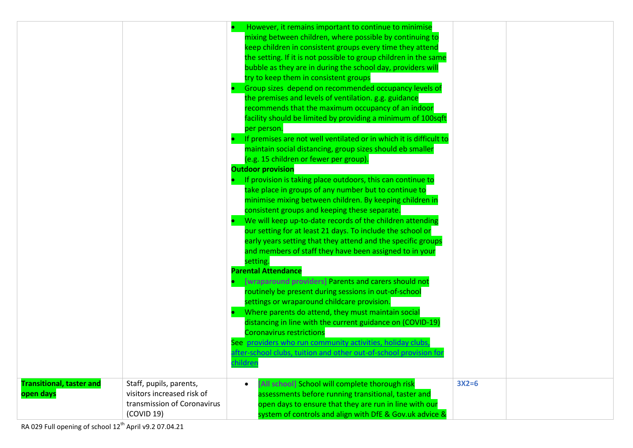|                                              |                                                                                                    | However, it remains important to continue to minimise<br>mixing between children, where possible by continuing to<br>keep children in consistent groups every time they attend<br>the setting. If it is not possible to group children in the same<br>bubble as they are in during the school day, providers wil<br>try to keep them in consistent groups<br>Group sizes depend on recommended occupancy levels of<br>the premises and levels of ventilation. g.g. guidance<br>recommends that the maximum occupancy of an indoor<br>facility should be limited by providing a minimum of 100sqft<br>per person.<br>If premises are not well ventilated or in which it is difficult to<br>maintain social distancing, group sizes should eb smaller<br>(e.g. 15 children or fewer per group).<br><b>Outdoor provision</b><br>If provision is taking place outdoors, this can continue to<br>take place in groups of any number but to continue to<br>minimise mixing between children. By keeping children in<br>consistent groups and keeping these separate.<br>We will keep up-to-date records of the children attending<br>our setting for at least 21 days. To include the school or<br>early years setting that they attend and the specific groups<br>and members of staff they have been assigned to in your<br>setting.<br><b>Parental Attendance</b><br>[wraparound providers] Parents and carers should not<br>routinely be present during sessions in out-of-school<br>settings or wraparound childcare provision.<br>Where parents do attend, they must maintain social<br>distancing in line with the current guidance on (COVID-19)<br><b>Coronavirus restrictions</b><br>See providers who run community activities, holiday clubs,<br>after-school clubs, tuition and other out-of-school provision for<br>childrer |         |  |
|----------------------------------------------|----------------------------------------------------------------------------------------------------|--------------------------------------------------------------------------------------------------------------------------------------------------------------------------------------------------------------------------------------------------------------------------------------------------------------------------------------------------------------------------------------------------------------------------------------------------------------------------------------------------------------------------------------------------------------------------------------------------------------------------------------------------------------------------------------------------------------------------------------------------------------------------------------------------------------------------------------------------------------------------------------------------------------------------------------------------------------------------------------------------------------------------------------------------------------------------------------------------------------------------------------------------------------------------------------------------------------------------------------------------------------------------------------------------------------------------------------------------------------------------------------------------------------------------------------------------------------------------------------------------------------------------------------------------------------------------------------------------------------------------------------------------------------------------------------------------------------------------------------------------------------------------------------------------------------------------------------|---------|--|
| <b>Transitional, taster and</b><br>open days | Staff, pupils, parents,<br>visitors increased risk of<br>transmission of Coronavirus<br>(COVID 19) | [All school] School will complete thorough risk<br>$\bullet$<br>assessments before running transitional, taster and<br>open days to ensure that they are run in line with our<br>system of controls and align with DfE & Gov.uk advice &                                                                                                                                                                                                                                                                                                                                                                                                                                                                                                                                                                                                                                                                                                                                                                                                                                                                                                                                                                                                                                                                                                                                                                                                                                                                                                                                                                                                                                                                                                                                                                                             | $3X2=6$ |  |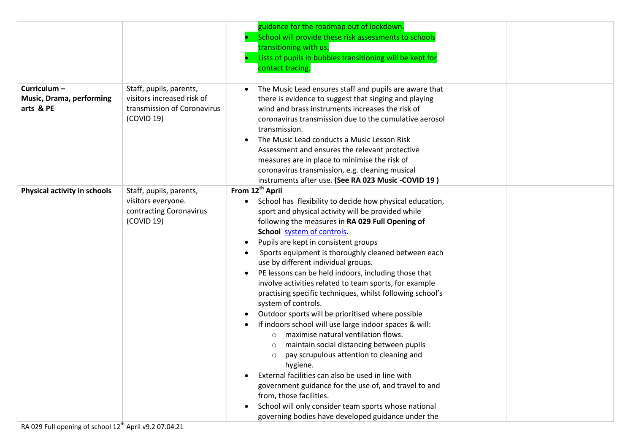|                                                             |                                                                                                    | guidance for the roadmap out of lockdown.<br>School will provide these risk assessments to schools<br>transitioning with us.<br>Lists of pupils in bubbles transitioning will be kept for<br>contact tracing.                                                                                                                                                                                                                                                                                                                                                                                                                                                                                                                                                                                                                                                                                                                                                                                                                                                                                                       |
|-------------------------------------------------------------|----------------------------------------------------------------------------------------------------|---------------------------------------------------------------------------------------------------------------------------------------------------------------------------------------------------------------------------------------------------------------------------------------------------------------------------------------------------------------------------------------------------------------------------------------------------------------------------------------------------------------------------------------------------------------------------------------------------------------------------------------------------------------------------------------------------------------------------------------------------------------------------------------------------------------------------------------------------------------------------------------------------------------------------------------------------------------------------------------------------------------------------------------------------------------------------------------------------------------------|
| Curriculum-<br><b>Music, Drama, performing</b><br>arts & PE | Staff, pupils, parents,<br>visitors increased risk of<br>transmission of Coronavirus<br>(COVID 19) | The Music Lead ensures staff and pupils are aware that<br>there is evidence to suggest that singing and playing<br>wind and brass instruments increases the risk of<br>coronavirus transmission due to the cumulative aerosol<br>transmission.<br>The Music Lead conducts a Music Lesson Risk<br>Assessment and ensures the relevant protective<br>measures are in place to minimise the risk of<br>coronavirus transmission, e.g. cleaning musical<br>instruments after use. (See RA 023 Music -COVID 19)                                                                                                                                                                                                                                                                                                                                                                                                                                                                                                                                                                                                          |
| Physical activity in schools                                | Staff, pupils, parents,<br>visitors everyone.<br>contracting Coronavirus<br>(COVID 19)             | From 12 <sup>th</sup> April<br>School has flexibility to decide how physical education,<br>sport and physical activity will be provided while<br>following the measures in RA 029 Full Opening of<br>School system of controls.<br>Pupils are kept in consistent groups<br>Sports equipment is thoroughly cleaned between each<br>use by different individual groups.<br>PE lessons can be held indoors, including those that<br>involve activities related to team sports, for example<br>practising specific techniques, whilst following school's<br>system of controls.<br>Outdoor sports will be prioritised where possible<br>If indoors school will use large indoor spaces & will:<br>maximise natural ventilation flows.<br>$\circ$<br>maintain social distancing between pupils<br>pay scrupulous attention to cleaning and<br>$\circ$<br>hygiene.<br>External facilities can also be used in line with<br>government guidance for the use of, and travel to and<br>from, those facilities.<br>School will only consider team sports whose national<br>governing bodies have developed guidance under the |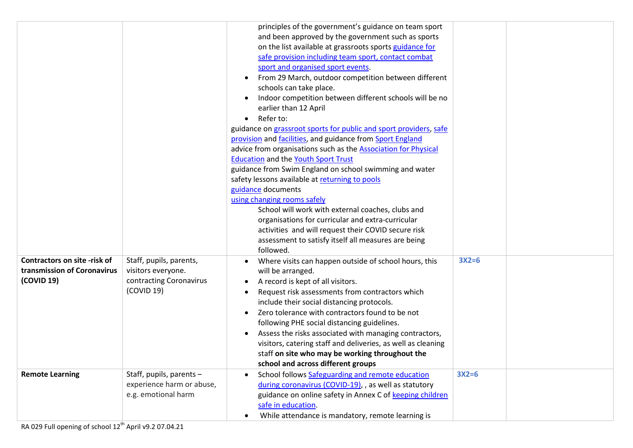|                                     |                           | principles of the government's guidance on team sport<br>and been approved by the government such as sports |         |  |
|-------------------------------------|---------------------------|-------------------------------------------------------------------------------------------------------------|---------|--|
|                                     |                           | on the list available at grassroots sports guidance for                                                     |         |  |
|                                     |                           | safe provision including team sport, contact combat                                                         |         |  |
|                                     |                           | sport and organised sport events.                                                                           |         |  |
|                                     |                           | From 29 March, outdoor competition between different                                                        |         |  |
|                                     |                           | schools can take place.                                                                                     |         |  |
|                                     |                           | Indoor competition between different schools will be no                                                     |         |  |
|                                     |                           | earlier than 12 April                                                                                       |         |  |
|                                     |                           | Refer to:<br>$\bullet$                                                                                      |         |  |
|                                     |                           | guidance on grassroot sports for public and sport providers, safe                                           |         |  |
|                                     |                           | provision and facilities, and guidance from Sport England                                                   |         |  |
|                                     |                           | advice from organisations such as the <b>Association for Physical</b>                                       |         |  |
|                                     |                           | <b>Education and the Youth Sport Trust</b>                                                                  |         |  |
|                                     |                           | guidance from Swim England on school swimming and water                                                     |         |  |
|                                     |                           | safety lessons available at returning to pools                                                              |         |  |
|                                     |                           | guidance documents<br>using changing rooms safely                                                           |         |  |
|                                     |                           | School will work with external coaches, clubs and                                                           |         |  |
|                                     |                           | organisations for curricular and extra-curricular                                                           |         |  |
|                                     |                           | activities and will request their COVID secure risk                                                         |         |  |
|                                     |                           | assessment to satisfy itself all measures are being                                                         |         |  |
|                                     |                           | followed.                                                                                                   |         |  |
| <b>Contractors on site -risk of</b> | Staff, pupils, parents,   | Where visits can happen outside of school hours, this                                                       | $3X2=6$ |  |
| transmission of Coronavirus         | visitors everyone.        | will be arranged.                                                                                           |         |  |
| (COVID 19)                          | contracting Coronavirus   | A record is kept of all visitors.<br>$\bullet$                                                              |         |  |
|                                     | (COVID 19)                | Request risk assessments from contractors which                                                             |         |  |
|                                     |                           | include their social distancing protocols.                                                                  |         |  |
|                                     |                           | Zero tolerance with contractors found to be not                                                             |         |  |
|                                     |                           | following PHE social distancing guidelines.                                                                 |         |  |
|                                     |                           | Assess the risks associated with managing contractors,                                                      |         |  |
|                                     |                           | visitors, catering staff and deliveries, as well as cleaning                                                |         |  |
|                                     |                           | staff on site who may be working throughout the                                                             |         |  |
|                                     |                           | school and across different groups                                                                          |         |  |
| <b>Remote Learning</b>              | Staff, pupils, parents -  | School follows Safeguarding and remote education                                                            | $3X2=6$ |  |
|                                     | experience harm or abuse, | during coronavirus (COVID-19), , as well as statutory                                                       |         |  |
|                                     | e.g. emotional harm       | guidance on online safety in Annex C of keeping children                                                    |         |  |
|                                     |                           | safe in education.                                                                                          |         |  |
|                                     |                           | While attendance is mandatory, remote learning is                                                           |         |  |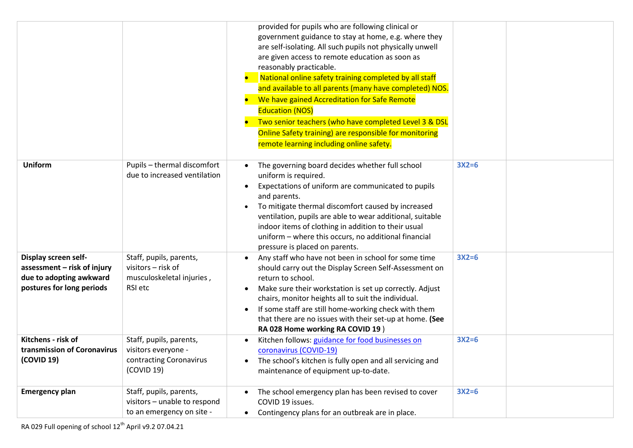|                                                                                                             |                                                                                         | provided for pupils who are following clinical or<br>government guidance to stay at home, e.g. where they<br>are self-isolating. All such pupils not physically unwell<br>are given access to remote education as soon as<br>reasonably practicable.<br>National online safety training completed by all staff<br>and available to all parents (many have completed) NOS.<br>We have gained Accreditation for Safe Remote<br><b>Education (NOS)</b><br>Two senior teachers (who have completed Level 3 & DSL<br>Online Safety training) are responsible for monitoring<br>remote learning including online safety. |         |  |
|-------------------------------------------------------------------------------------------------------------|-----------------------------------------------------------------------------------------|--------------------------------------------------------------------------------------------------------------------------------------------------------------------------------------------------------------------------------------------------------------------------------------------------------------------------------------------------------------------------------------------------------------------------------------------------------------------------------------------------------------------------------------------------------------------------------------------------------------------|---------|--|
| <b>Uniform</b>                                                                                              | Pupils - thermal discomfort<br>due to increased ventilation                             | The governing board decides whether full school<br>uniform is required.<br>Expectations of uniform are communicated to pupils<br>$\bullet$<br>and parents.<br>To mitigate thermal discomfort caused by increased<br>ventilation, pupils are able to wear additional, suitable<br>indoor items of clothing in addition to their usual<br>uniform - where this occurs, no additional financial<br>pressure is placed on parents.                                                                                                                                                                                     | $3X2=6$ |  |
| Display screen self-<br>assessment - risk of injury<br>due to adopting awkward<br>postures for long periods | Staff, pupils, parents,<br>visitors - risk of<br>musculoskeletal injuries,<br>RSI etc   | Any staff who have not been in school for some time<br>should carry out the Display Screen Self-Assessment on<br>return to school.<br>Make sure their workstation is set up correctly. Adjust<br>chairs, monitor heights all to suit the individual.<br>If some staff are still home-working check with them<br>that there are no issues with their set-up at home. (See<br>RA 028 Home working RA COVID 19)                                                                                                                                                                                                       | $3X2=6$ |  |
| Kitchens - risk of<br>transmission of Coronavirus<br>(COVID 19)                                             | Staff, pupils, parents,<br>visitors everyone -<br>contracting Coronavirus<br>(COVID 19) | Kitchen follows: guidance for food businesses on<br>coronavirus (COVID-19)<br>The school's kitchen is fully open and all servicing and<br>maintenance of equipment up-to-date.                                                                                                                                                                                                                                                                                                                                                                                                                                     | $3X2=6$ |  |
| <b>Emergency plan</b>                                                                                       | Staff, pupils, parents,<br>visitors - unable to respond<br>to an emergency on site -    | The school emergency plan has been revised to cover<br>COVID 19 issues.<br>Contingency plans for an outbreak are in place.<br>$\bullet$                                                                                                                                                                                                                                                                                                                                                                                                                                                                            | $3X2=6$ |  |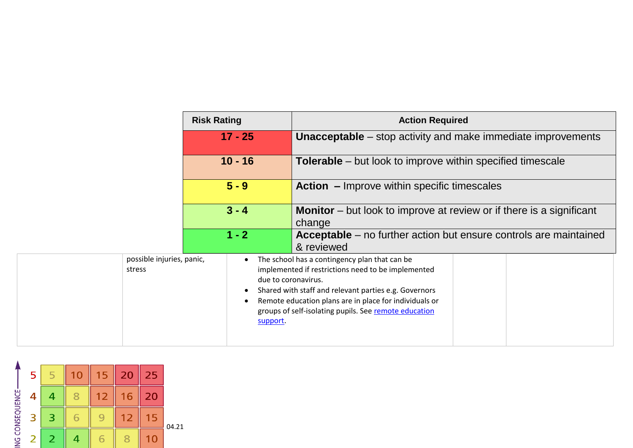|                                     | <b>Risk Rating</b>    | <b>Action Required</b>                                                                                                                                                                                                                                                                                 |  |  |
|-------------------------------------|-----------------------|--------------------------------------------------------------------------------------------------------------------------------------------------------------------------------------------------------------------------------------------------------------------------------------------------------|--|--|
| $17 - 25$                           |                       | <b>Unacceptable</b> – stop activity and make immediate improvements                                                                                                                                                                                                                                    |  |  |
|                                     | $10 - 16$             | <b>Tolerable</b> – but look to improve within specified timescale                                                                                                                                                                                                                                      |  |  |
|                                     | $5 - 9$               | <b>Action</b> – Improve within specific timescales                                                                                                                                                                                                                                                     |  |  |
| $3 - 4$                             |                       | <b>Monitor</b> – but look to improve at review or if there is a significant<br>change                                                                                                                                                                                                                  |  |  |
|                                     | $1 - 2$               | <b>Acceptable</b> – no further action but ensure controls are maintained<br>& reviewed                                                                                                                                                                                                                 |  |  |
| possible injuries, panic,<br>stress | $\bullet$<br>support. | The school has a contingency plan that can be<br>implemented if restrictions need to be implemented<br>due to coronavirus.<br>Shared with staff and relevant parties e.g. Governors<br>Remote education plans are in place for individuals or<br>groups of self-isolating pupils. See remote education |  |  |

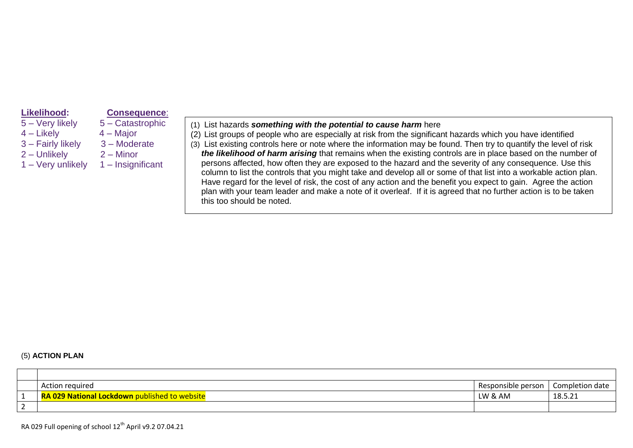- 
- 4 Likely 4 Major
- 3 Fairly likely 3 Moderate<br>2 Unlikely 2 Minor
- $2$  Unlikely
- 

#### **Likelihood: Consequence**:

- 5 Very likely 5 Catastrophic
	-
	-
	-
- 1 Very unlikely 1 Insignificant
- (1) List hazards *something with the potential to cause harm* here
- (2) List groups of people who are especially at risk from the significant hazards which you have identified
- (3) List existing controls here or note where the information may be found. Then try to quantify the level of risk *the likelihood of harm arising* that remains when the existing controls are in place based on the number of persons affected, how often they are exposed to the hazard and the severity of any consequence*.* Use this column to list the controls that you might take and develop all or some of that list into a workable action plan. Have regard for the level of risk, the cost of any action and the benefit you expect to gain. Agree the action plan with your team leader and make a note of it overleaf. If it is agreed that no further action is to be taken this too should be noted.

#### (5) **ACTION PLAN**

|          | Action required                                      | Responsible person | Completion date       |
|----------|------------------------------------------------------|--------------------|-----------------------|
| <b>.</b> | <b>RA 029 National Lockdown published to website</b> | LW & AM            | $10E$ $21$<br>10.J.Z1 |
| _        |                                                      |                    |                       |